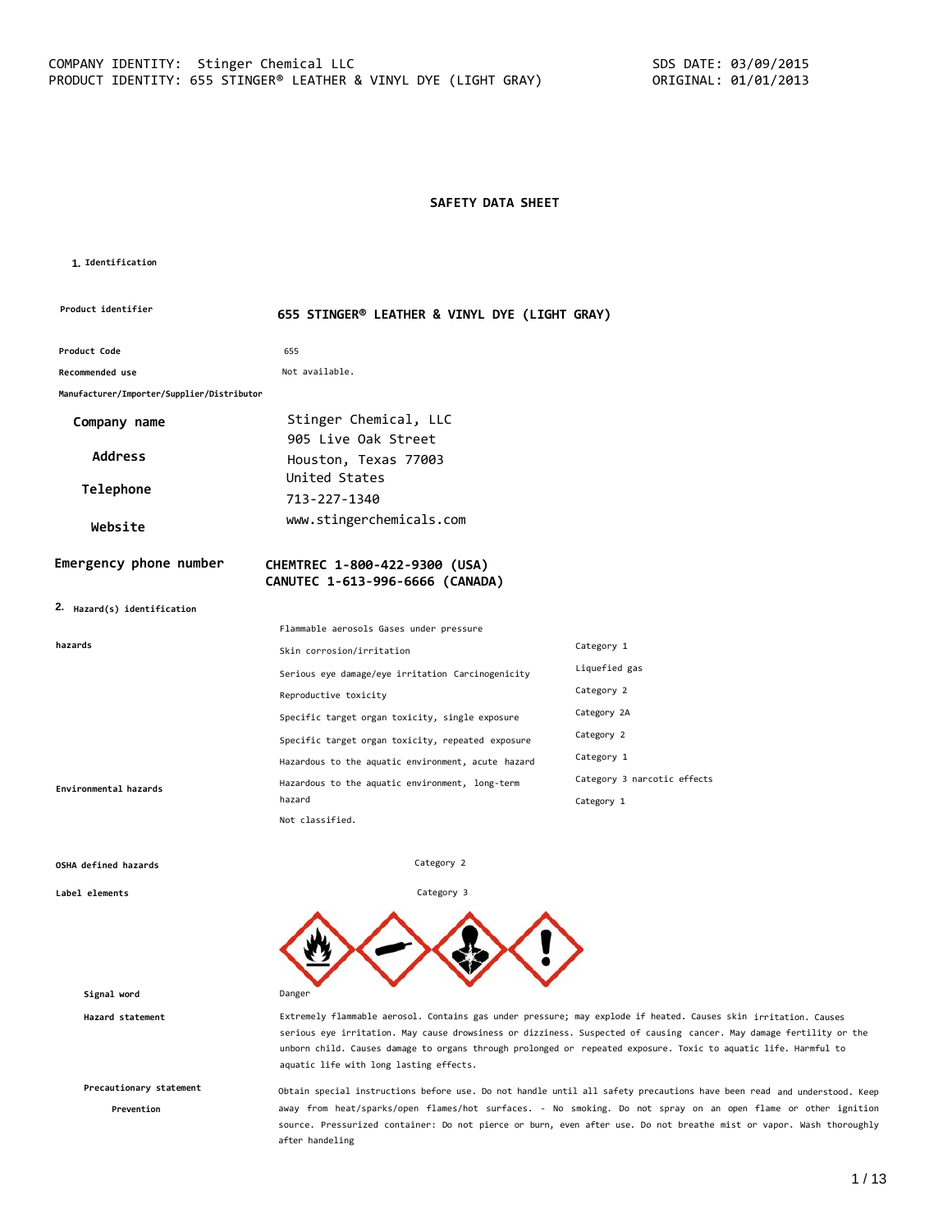#### **SAFETY DATA SHEET**

#### **1. Identification**

| Product identifier                         | 655 STINGER® LEATHER & VINYL DYE (LIGHT GRAY)                    |                             |
|--------------------------------------------|------------------------------------------------------------------|-----------------------------|
| Product Code                               | 655                                                              |                             |
| Recommended use                            | Not available.                                                   |                             |
| Manufacturer/Importer/Supplier/Distributor |                                                                  |                             |
| Company name                               | Stinger Chemical, LLC                                            |                             |
|                                            | 905 Live Oak Street                                              |                             |
| <b>Address</b>                             | Houston, Texas 77003                                             |                             |
| Telephone                                  | United States                                                    |                             |
|                                            | 713-227-1340                                                     |                             |
| Website                                    | www.stingerchemicals.com                                         |                             |
| Emergency phone number                     | CHEMTREC 1-800-422-9300 (USA)<br>CANUTEC 1-613-996-6666 (CANADA) |                             |
| 2. Hazard(s) identification                |                                                                  |                             |
|                                            |                                                                  |                             |
|                                            | Flammable aerosols Gases under pressure                          |                             |
| hazards                                    | Skin corrosion/irritation                                        | Category 1                  |
|                                            | Serious eye damage/eye irritation Carcinogenicity                | Liquefied gas               |
|                                            | Reproductive toxicity                                            | Category 2                  |
|                                            | Specific target organ toxicity, single exposure                  | Category 2A                 |
|                                            | Specific target organ toxicity, repeated exposure                | Category 2                  |
|                                            | Hazardous to the aquatic environment, acute hazard               | Category 1                  |
| Environmental hazards                      | Hazardous to the aquatic environment, long-term                  | Category 3 narcotic effects |
|                                            | hazard                                                           | Category 1                  |

Category 2

Category 3

#### **OSHA defined hazards**

**Label elements**

**Signal word** Danger

**Precautionary statement**

**Prevention**

**Hazard statement** Extremely flammable aerosol. Contains gas under pressure; may explode if heated. Causes skin irritation. Causes serious eye irritation. May cause drowsiness or dizziness. Suspected of causing cancer. May damage fertility or the unborn child. Causes damage to organs through prolonged or repeated exposure. Toxic to aquatic life. Harmful to aquatic life with long lasting effects.

> Obtain special instructions before use. Do not handle until all safety precautions have been read and understood. Keep away from heat/sparks/open flames/hot surfaces. - No smoking. Do not spray on an open flame or other ignition source. Pressurized container: Do not pierce or burn, even after use. Do not breathe mist or vapor. Wash thoroughly after handeling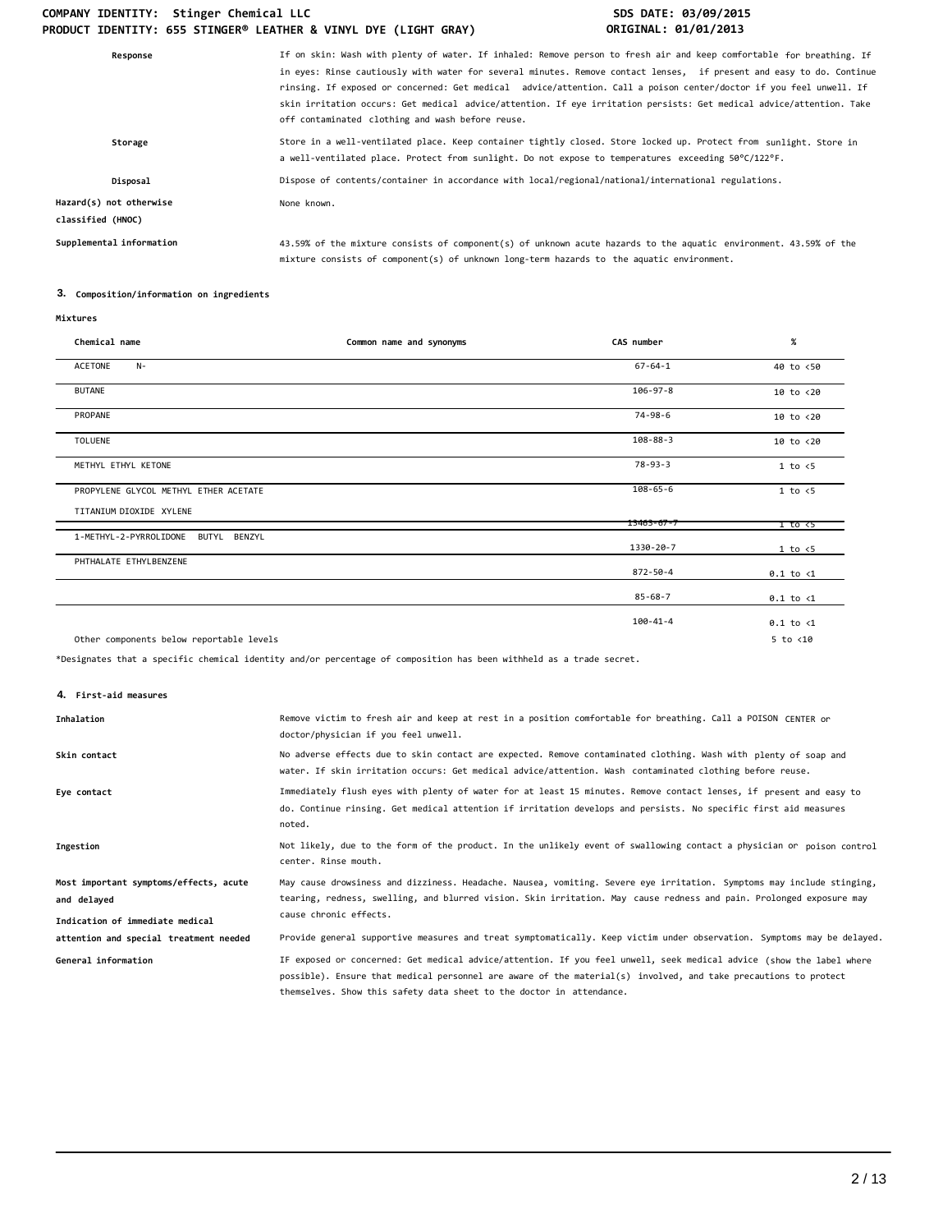## COMPANY IDENTITY: Stinger Chemical LLC **SDS DATE: 03/09/2015 PRODUCT IDENTITY: 655 STINGER® LEATHER & VINYL DYE (LIGHT GRAY) ORIGINAL: 01/01/2013**

| Response                                     | If on skin: Wash with plenty of water. If inhaled: Remove person to fresh air and keep comfortable for breathing. If<br>in eyes: Rinse cautiously with water for several minutes. Remove contact lenses, if present and easy to do. Continue<br>rinsing. If exposed or concerned: Get medical advice/attention. Call a poison center/doctor if you feel unwell. If<br>skin irritation occurs: Get medical advice/attention. If eye irritation persists: Get medical advice/attention. Take<br>off contaminated clothing and wash before reuse. |
|----------------------------------------------|------------------------------------------------------------------------------------------------------------------------------------------------------------------------------------------------------------------------------------------------------------------------------------------------------------------------------------------------------------------------------------------------------------------------------------------------------------------------------------------------------------------------------------------------|
| Storage                                      | Store in a well-ventilated place. Keep container tightly closed. Store locked up. Protect from sunlight. Store in<br>a well-ventilated place. Protect from sunlight. Do not expose to temperatures exceeding 50°C/122°F.                                                                                                                                                                                                                                                                                                                       |
| Disposal                                     | Dispose of contents/container in accordance with local/regional/national/international regulations.                                                                                                                                                                                                                                                                                                                                                                                                                                            |
| Hazard(s) not otherwise<br>classified (HNOC) | None known.                                                                                                                                                                                                                                                                                                                                                                                                                                                                                                                                    |
| Supplemental information                     | 43.59% of the mixture consists of component(s) of unknown acute hazards to the aquatic environment. 43.59% of the<br>mixture consists of component(s) of unknown long-term hazards to the aquatic environment.                                                                                                                                                                                                                                                                                                                                 |

## **3. Composition/information on ingredients**

| Chemical name                             | Common name and synonyms | CAS number       | $\%$                 |
|-------------------------------------------|--------------------------|------------------|----------------------|
| ACETONE<br>$N-$                           |                          | $67 - 64 - 1$    | 40 to <50            |
| <b>BUTANE</b>                             |                          | $106 - 97 - 8$   | $10$ to $< 20$       |
| PROPANE                                   |                          | 74-98-6          | 10 to <20            |
| <b>TOLUENE</b>                            |                          | $108 - 88 - 3$   | 10 to <20            |
| METHYL ETHYL KETONE                       |                          | $78 - 93 - 3$    | 1 to < 5             |
| PROPYLENE GLYCOL METHYL ETHER ACETATE     |                          | $108 - 65 - 6$   | $1$ to $\leq 5$      |
| TITANIUM DIOXIDE XYLENE                   |                          | $13463 - 67 - 7$ | 1 to <5              |
| 1-METHYL-2-PYRROLIDONE<br>BUTYL<br>BENZYL |                          | 1330-20-7        | 1 to < 5             |
| PHTHALATE ETHYLBENZENE                    |                          | 872-50-4         | $0.1$ to $\langle 1$ |
|                                           |                          | $85 - 68 - 7$    | $0.1$ to $\langle 1$ |
|                                           |                          | 100-41-4         | $0.1$ to $\langle 1$ |
| Other components below reportable levels  |                          |                  | $5$ to $<$ 10        |

\*Designates that a specific chemical identity and/or percentage of composition has been withheld as a trade secret.

**4. First-aid measures**

| Inhalation                                                                               | Remove victim to fresh air and keep at rest in a position comfortable for breathing. Call a POISON CENTER or<br>doctor/physician if you feel unwell.                                                                                                                   |
|------------------------------------------------------------------------------------------|------------------------------------------------------------------------------------------------------------------------------------------------------------------------------------------------------------------------------------------------------------------------|
| Skin contact                                                                             | No adverse effects due to skin contact are expected. Remove contaminated clothing. Wash with plenty of soap and<br>water. If skin irritation occurs: Get medical advice/attention. Wash contaminated clothing before reuse.                                            |
| Eye contact                                                                              | Immediately flush eyes with plenty of water for at least 15 minutes. Remove contact lenses, if present and easy to<br>do. Continue rinsing. Get medical attention if irritation develops and persists. No specific first aid measures<br>noted.                        |
| Ingestion                                                                                | Not likely, due to the form of the product. In the unlikely event of swallowing contact a physician or poison control<br>center. Rinse mouth.                                                                                                                          |
| Most important symptoms/effects, acute<br>and delayed<br>Indication of immediate medical | May cause drowsiness and dizziness. Headache. Nausea, vomiting. Severe eye irritation. Symptoms may include stinging,<br>tearing, redness, swelling, and blurred vision. Skin irritation. May cause redness and pain. Prolonged exposure may<br>cause chronic effects. |
| attention and special treatment needed<br>General information                            | Provide general supportive measures and treat symptomatically. Keep victim under observation. Symptoms may be delayed.<br>IF exposed or concerned: Get medical advice/attention. If you feel unwell, seek medical advice (show the label where                         |
|                                                                                          | possible). Ensure that medical personnel are aware of the material(s) involved, and take precautions to protect<br>themselves. Show this safety data sheet to the doctor in attendance.                                                                                |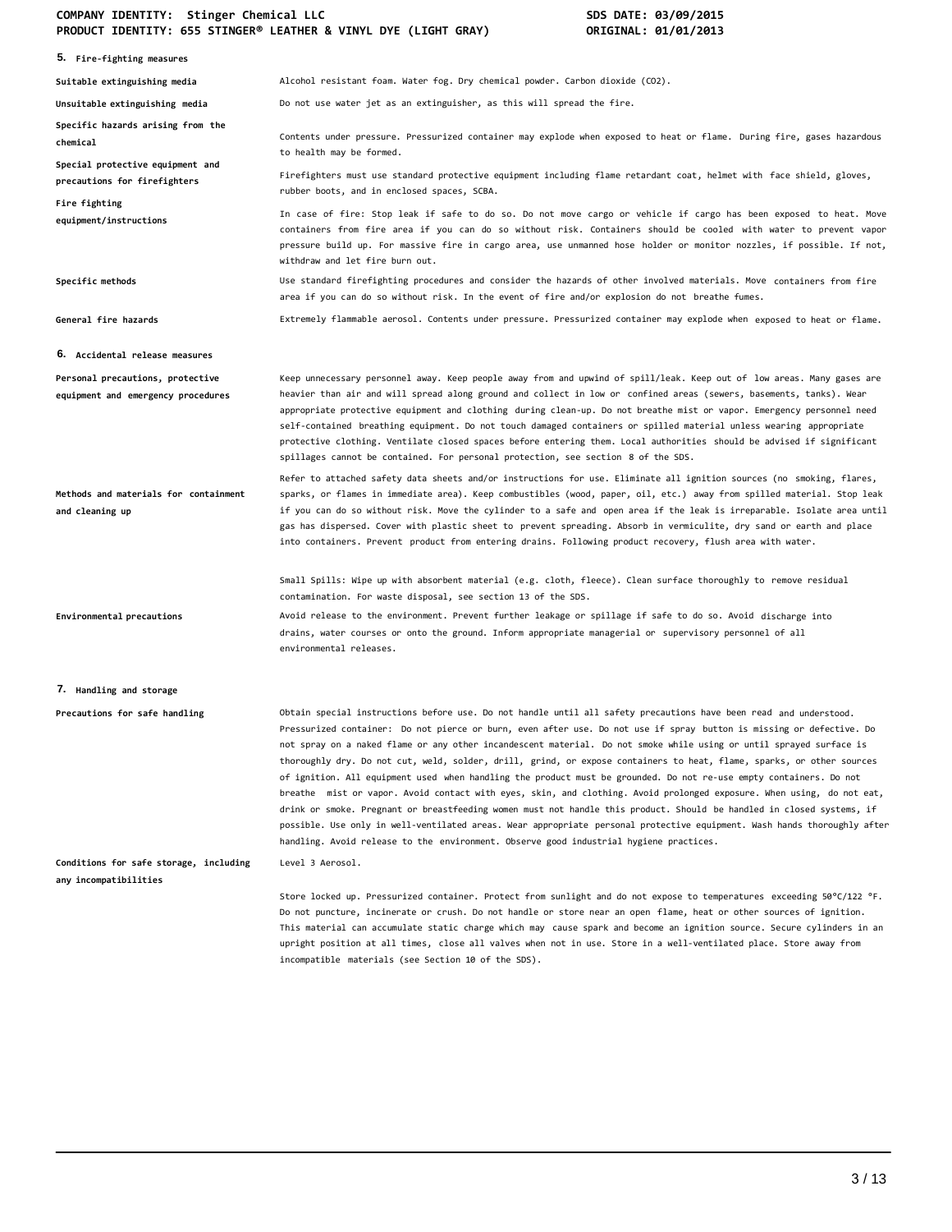#### **COMPANY IDENTITY: Stinger Chemical LLC SDS DATE: 03/09/2015 PRODUCT IDENTITY: 655 STINGER® LEATHER & VINYL DYE (LIGHT GRAY) ORIGINAL: 01/01/2013**

|                                                                        | (LIGHT ONA) ווהשטע בנס וואומינג ככס וואומינג בינס וואט ווידע וואס ווידע ווידע ווידע ווידע ווידע ווידע<br>OUTATIANE, ATIATISTA                                                                                                                                                                                                                                                                                                                                                                                                                                                                                                                                                                                                                                                                                                                                                                                                                                                                                                                                                           |
|------------------------------------------------------------------------|-----------------------------------------------------------------------------------------------------------------------------------------------------------------------------------------------------------------------------------------------------------------------------------------------------------------------------------------------------------------------------------------------------------------------------------------------------------------------------------------------------------------------------------------------------------------------------------------------------------------------------------------------------------------------------------------------------------------------------------------------------------------------------------------------------------------------------------------------------------------------------------------------------------------------------------------------------------------------------------------------------------------------------------------------------------------------------------------|
| 5. Fire-fighting measures                                              |                                                                                                                                                                                                                                                                                                                                                                                                                                                                                                                                                                                                                                                                                                                                                                                                                                                                                                                                                                                                                                                                                         |
| Suitable extinguishing media                                           | Alcohol resistant foam. Water fog. Dry chemical powder. Carbon dioxide (CO2).                                                                                                                                                                                                                                                                                                                                                                                                                                                                                                                                                                                                                                                                                                                                                                                                                                                                                                                                                                                                           |
| Unsuitable extinguishing media                                         | Do not use water jet as an extinguisher, as this will spread the fire.                                                                                                                                                                                                                                                                                                                                                                                                                                                                                                                                                                                                                                                                                                                                                                                                                                                                                                                                                                                                                  |
| Specific hazards arising from the<br>chemical                          | Contents under pressure. Pressurized container may explode when exposed to heat or flame. During fire, gases hazardous<br>to health may be formed.                                                                                                                                                                                                                                                                                                                                                                                                                                                                                                                                                                                                                                                                                                                                                                                                                                                                                                                                      |
| Special protective equipment and<br>precautions for firefighters       | Firefighters must use standard protective equipment including flame retardant coat, helmet with face shield, gloves,<br>rubber boots, and in enclosed spaces, SCBA.                                                                                                                                                                                                                                                                                                                                                                                                                                                                                                                                                                                                                                                                                                                                                                                                                                                                                                                     |
| Fire fighting<br>equipment/instructions                                | In case of fire: Stop leak if safe to do so. Do not move cargo or vehicle if cargo has been exposed to heat. Move<br>containers from fire area if you can do so without risk. Containers should be cooled with water to prevent vapor<br>pressure build up. For massive fire in cargo area, use unmanned hose holder or monitor nozzles, if possible. If not,<br>withdraw and let fire burn out.                                                                                                                                                                                                                                                                                                                                                                                                                                                                                                                                                                                                                                                                                        |
| Specific methods                                                       | Use standard firefighting procedures and consider the hazards of other involved materials. Move containers from fire<br>area if you can do so without risk. In the event of fire and/or explosion do not breathe fumes.                                                                                                                                                                                                                                                                                                                                                                                                                                                                                                                                                                                                                                                                                                                                                                                                                                                                 |
| General fire hazards                                                   | Extremely flammable aerosol. Contents under pressure. Pressurized container may explode when exposed to heat or flame.                                                                                                                                                                                                                                                                                                                                                                                                                                                                                                                                                                                                                                                                                                                                                                                                                                                                                                                                                                  |
| 6. Accidental release measures                                         |                                                                                                                                                                                                                                                                                                                                                                                                                                                                                                                                                                                                                                                                                                                                                                                                                                                                                                                                                                                                                                                                                         |
| Personal precautions, protective<br>equipment and emergency procedures | Keep unnecessary personnel away. Keep people away from and upwind of spill/leak. Keep out of low areas. Many gases are<br>heavier than air and will spread along ground and collect in low or confined areas (sewers, basements, tanks). Wear<br>appropriate protective equipment and clothing during clean-up. Do not breathe mist or vapor. Emergency personnel need<br>self-contained breathing equipment. Do not touch damaged containers or spilled material unless wearing appropriate<br>protective clothing. Ventilate closed spaces before entering them. Local authorities should be advised if significant<br>spillages cannot be contained. For personal protection, see section 8 of the SDS.                                                                                                                                                                                                                                                                                                                                                                              |
| Methods and materials for containment<br>and cleaning up               | Refer to attached safety data sheets and/or instructions for use. Eliminate all ignition sources (no smoking, flares,<br>sparks, or flames in immediate area). Keep combustibles (wood, paper, oil, etc.) away from spilled material. Stop leak<br>if you can do so without risk. Move the cylinder to a safe and open area if the leak is irreparable. Isolate area until<br>gas has dispersed. Cover with plastic sheet to prevent spreading. Absorb in vermiculite, dry sand or earth and place<br>into containers. Prevent product from entering drains. Following product recovery, flush area with water.                                                                                                                                                                                                                                                                                                                                                                                                                                                                         |
|                                                                        | Small Spills: Wipe up with absorbent material (e.g. cloth, fleece). Clean surface thoroughly to remove residual<br>contamination. For waste disposal, see section 13 of the SDS.                                                                                                                                                                                                                                                                                                                                                                                                                                                                                                                                                                                                                                                                                                                                                                                                                                                                                                        |
| Environmental precautions                                              | Avoid release to the environment. Prevent further leakage or spillage if safe to do so. Avoid discharge into<br>drains, water courses or onto the ground. Inform appropriate managerial or supervisory personnel of all<br>environmental releases.                                                                                                                                                                                                                                                                                                                                                                                                                                                                                                                                                                                                                                                                                                                                                                                                                                      |
| 7. Handling and storage                                                |                                                                                                                                                                                                                                                                                                                                                                                                                                                                                                                                                                                                                                                                                                                                                                                                                                                                                                                                                                                                                                                                                         |
| Precautions for safe handling                                          | Obtain special instructions before use. Do not handle until all safety precautions have been read and understood.<br>Pressurized container: Do not pierce or burn, even after use. Do not use if spray button is missing or defective. Do<br>not spray on a naked flame or any other incandescent material. Do not smoke while using or until sprayed surface is<br>thoroughly dry. Do not cut, weld, solder, drill, grind, or expose containers to heat, flame, sparks, or other sources<br>of ignition. All equipment used when handling the product must be grounded. Do not re-use empty containers. Do not<br>breathe mist or vapor. Avoid contact with eyes, skin, and clothing. Avoid prolonged exposure. When using, do not eat,<br>drink or smoke. Pregnant or breastfeeding women must not handle this product. Should be handled in closed systems, if<br>possible. Use only in well-ventilated areas. Wear appropriate personal protective equipment. Wash hands thoroughly after<br>handling. Avoid release to the environment. Observe good industrial hygiene practices. |
| Conditions for safe storage, including<br>any incompatibilities        | Level 3 Aerosol.                                                                                                                                                                                                                                                                                                                                                                                                                                                                                                                                                                                                                                                                                                                                                                                                                                                                                                                                                                                                                                                                        |
|                                                                        | Store locked up. Pressurized container. Protect from sunlight and do not expose to temperatures exceeding 50°C/122 °F.<br>Do not puncture, incinerate or crush. Do not handle or store near an open flame, heat or other sources of ignition.<br>This material can accumulate static charge which may cause spark and become an ignition source. Secure cylinders in an<br>upright position at all times, close all valves when not in use. Store in a well-ventilated place. Store away from<br>incompatible materials (see Section 10 of the SDS).                                                                                                                                                                                                                                                                                                                                                                                                                                                                                                                                    |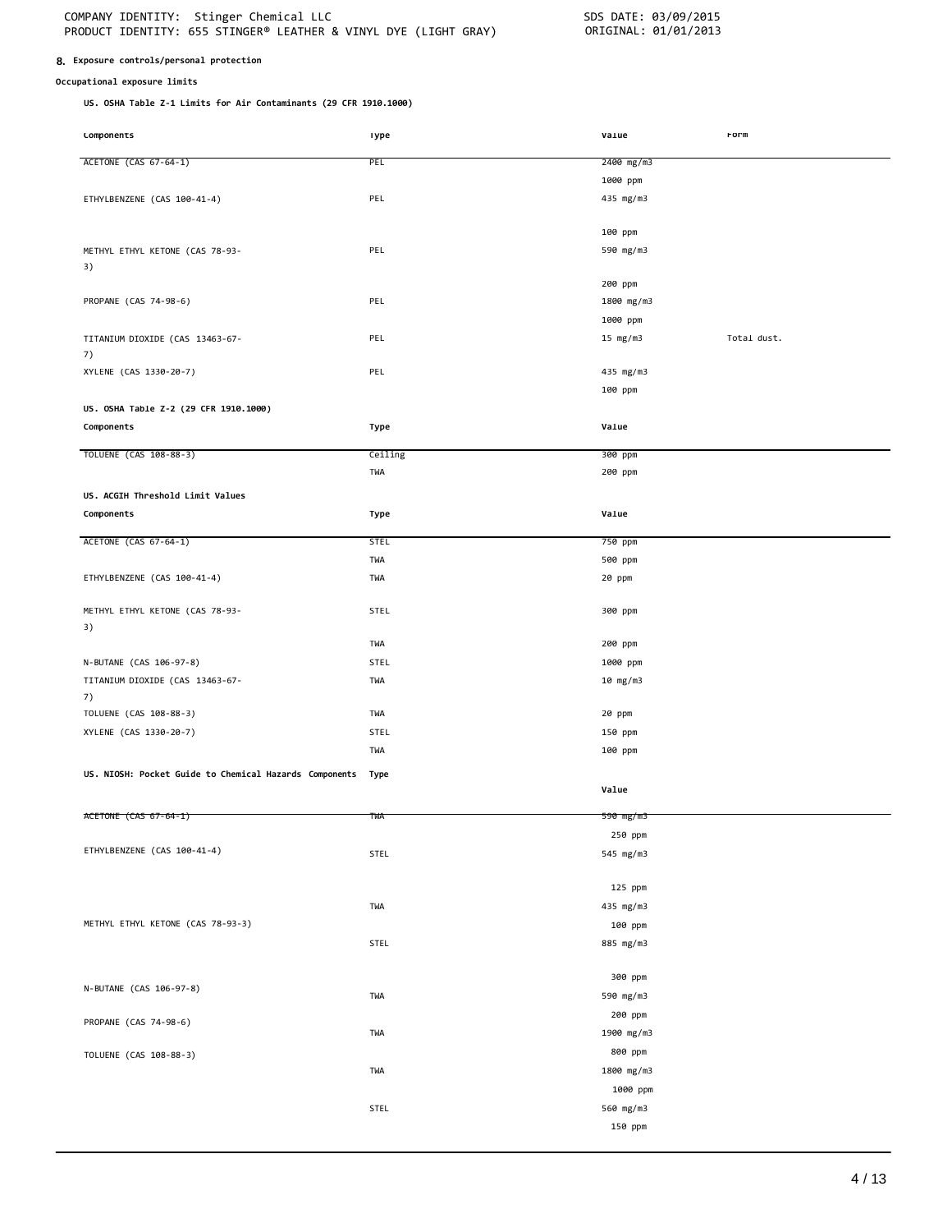#### **8. Exposure controls/personal protection**

#### **Occupational exposure limits**

**US. OSHA Table Z-1 Limits for Air Contaminants (29 CFR 1910.1000)**

| Lomponents                                             | ı ype       | varue      | rorm        |
|--------------------------------------------------------|-------------|------------|-------------|
| ACETONE (CAS 67-64-1)                                  | PEL         | 2400 mg/m3 |             |
|                                                        |             |            |             |
|                                                        |             | 1000 ppm   |             |
| ETHYLBENZENE (CAS 100-41-4)                            | PEL         | 435 mg/m3  |             |
|                                                        |             |            |             |
|                                                        |             | 100 ppm    |             |
| METHYL ETHYL KETONE (CAS 78-93-                        | PEL         | 590 mg/m3  |             |
| 3)                                                     |             |            |             |
|                                                        |             | 200 ppm    |             |
| PROPANE (CAS 74-98-6)                                  | PEL         | 1800 mg/m3 |             |
|                                                        |             | 1000 ppm   |             |
| TITANIUM DIOXIDE (CAS 13463-67-                        | PEL         | 15 $mg/m3$ | Total dust. |
| 7)                                                     |             |            |             |
| XYLENE (CAS 1330-20-7)                                 | PEL         | 435 mg/m3  |             |
|                                                        |             | 100 ppm    |             |
| US. OSHA Table Z-2 (29 CFR 1910.1000)                  |             |            |             |
|                                                        |             |            |             |
| Components                                             | Type        | Value      |             |
| TOLUENE (CAS 108-88-3)                                 | Ceiling     | 300 ppm    |             |
|                                                        | TWA         | 200 ppm    |             |
|                                                        |             |            |             |
| US. ACGIH Threshold Limit Values                       |             |            |             |
| Components                                             | Type        | Value      |             |
| ACETONE (CAS 67-64-1)                                  | <b>STEL</b> | 750 ppm    |             |
|                                                        | TWA         | 500 ppm    |             |
| ETHYLBENZENE (CAS 100-41-4)                            | TWA         | 20 ppm     |             |
|                                                        |             |            |             |
| METHYL ETHYL KETONE (CAS 78-93-                        | STEL        | 300 ppm    |             |
| 3)                                                     |             |            |             |
|                                                        | TWA         | 200 ppm    |             |
|                                                        |             |            |             |
| N-BUTANE (CAS 106-97-8)                                | <b>STEL</b> | 1000 ppm   |             |
| TITANIUM DIOXIDE (CAS 13463-67-                        | TWA         | 10 mg/m3   |             |
| 7)                                                     |             |            |             |
| TOLUENE (CAS 108-88-3)                                 | TWA         | 20 ppm     |             |
| XYLENE (CAS 1330-20-7)                                 | STEL        | 150 ppm    |             |
|                                                        | TWA         | 100 ppm    |             |
| US. NIOSH: Pocket Guide to Chemical Hazards Components | Type        |            |             |
|                                                        |             | Value      |             |
|                                                        |             |            |             |
| ACETONE (CAS 67-64-1)                                  | twa         | 590 mg/m3  |             |
|                                                        |             | 250 ppm    |             |
| ETHYLBENZENE (CAS 100-41-4)                            | STEL        | 545 mg/m3  |             |
|                                                        |             |            |             |
|                                                        |             | 125 ppm    |             |
|                                                        | TWA         | 435 mg/m3  |             |
| METHYL ETHYL KETONE (CAS 78-93-3)                      |             | 100 ppm    |             |
|                                                        | STEL        | 885 mg/m3  |             |
|                                                        |             |            |             |
|                                                        |             | 300 ppm    |             |
| N-BUTANE (CAS 106-97-8)                                |             |            |             |
|                                                        | TWA         | 590 mg/m3  |             |
| PROPANE (CAS 74-98-6)                                  |             | 200 ppm    |             |
|                                                        | TWA         | 1900 mg/m3 |             |
| TOLUENE (CAS 108-88-3)                                 |             | 800 ppm    |             |
|                                                        | TWA         | 1800 mg/m3 |             |
|                                                        |             | 1000 ppm   |             |
|                                                        | STEL        | 560 mg/m3  |             |
|                                                        |             |            |             |
|                                                        |             | 150 ppm    |             |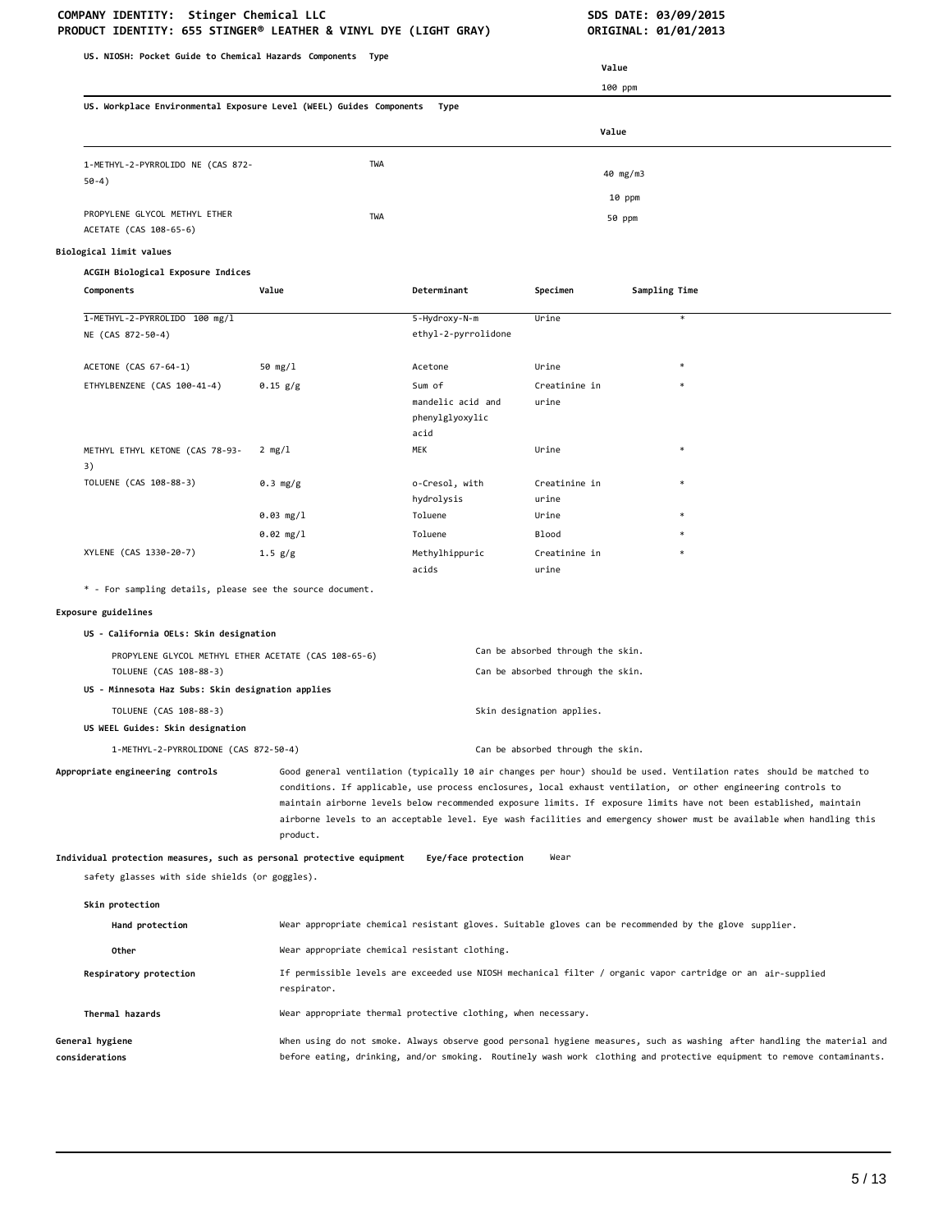# COMPANY IDENTITY: Stinger Chemical LLC<br>PRODUCT IDENTITY: 655 STINGER® LEATHER & VINYL DYE (LIGHT GRAY) **SOME ACTIONAL: 01/01/2013**

| PRODUCT IDENTITY: 655 STINGER® LEATHER & VINYL DYE (LIGHT GRAY)       |                                                                                                       |                         |                                   | ORIGINAL: 01/01/2013 |                                                                                                                                                                                                                                                                                                                                                             |
|-----------------------------------------------------------------------|-------------------------------------------------------------------------------------------------------|-------------------------|-----------------------------------|----------------------|-------------------------------------------------------------------------------------------------------------------------------------------------------------------------------------------------------------------------------------------------------------------------------------------------------------------------------------------------------------|
| US. NIOSH: Pocket Guide to Chemical Hazards Components Type           |                                                                                                       |                         |                                   |                      |                                                                                                                                                                                                                                                                                                                                                             |
|                                                                       |                                                                                                       |                         | Value                             |                      |                                                                                                                                                                                                                                                                                                                                                             |
|                                                                       |                                                                                                       |                         |                                   | 100 ppm              |                                                                                                                                                                                                                                                                                                                                                             |
| US. Workplace Environmental Exposure Level (WEEL) Guides Components   |                                                                                                       | Type                    |                                   |                      |                                                                                                                                                                                                                                                                                                                                                             |
|                                                                       |                                                                                                       |                         | Value                             |                      |                                                                                                                                                                                                                                                                                                                                                             |
| 1-METHYL-2-PYRROLIDO NE (CAS 872-                                     | TWA                                                                                                   |                         |                                   |                      |                                                                                                                                                                                                                                                                                                                                                             |
| $50-4)$                                                               |                                                                                                       |                         |                                   | 40 mg/m3             |                                                                                                                                                                                                                                                                                                                                                             |
|                                                                       |                                                                                                       |                         |                                   | 10 ppm               |                                                                                                                                                                                                                                                                                                                                                             |
| PROPYLENE GLYCOL METHYL ETHER<br>ACETATE (CAS 108-65-6)               | TWA                                                                                                   |                         |                                   | 50 ppm               |                                                                                                                                                                                                                                                                                                                                                             |
|                                                                       |                                                                                                       |                         |                                   |                      |                                                                                                                                                                                                                                                                                                                                                             |
| Biological limit values                                               |                                                                                                       |                         |                                   |                      |                                                                                                                                                                                                                                                                                                                                                             |
| ACGIH Biological Exposure Indices<br>Components                       | Value                                                                                                 | Determinant             | Specimen                          | Sampling Time        |                                                                                                                                                                                                                                                                                                                                                             |
|                                                                       |                                                                                                       |                         |                                   |                      |                                                                                                                                                                                                                                                                                                                                                             |
| 1-METHYL-2-PYRROLIDO 100 mg/l                                         |                                                                                                       | 5-Hydroxy-N-m           | Urine                             |                      | $\ast$                                                                                                                                                                                                                                                                                                                                                      |
| NE (CAS 872-50-4)                                                     |                                                                                                       | ethyl-2-pyrrolidone     |                                   |                      |                                                                                                                                                                                                                                                                                                                                                             |
| ACETONE (CAS 67-64-1)                                                 | 50 mg/1                                                                                               | Acetone                 | Urine                             |                      |                                                                                                                                                                                                                                                                                                                                                             |
| ETHYLBENZENE (CAS 100-41-4)                                           | 0.15 g/g                                                                                              | Sum of                  | Creatinine in                     |                      |                                                                                                                                                                                                                                                                                                                                                             |
|                                                                       |                                                                                                       | mandelic acid and       | urine                             |                      |                                                                                                                                                                                                                                                                                                                                                             |
|                                                                       |                                                                                                       | phenylglyoxylic<br>acid |                                   |                      |                                                                                                                                                                                                                                                                                                                                                             |
| METHYL ETHYL KETONE (CAS 78-93-                                       | $2 \text{ mg}/1$                                                                                      | MEK                     | Urine                             |                      |                                                                                                                                                                                                                                                                                                                                                             |
| 3)                                                                    |                                                                                                       |                         |                                   |                      |                                                                                                                                                                                                                                                                                                                                                             |
| TOLUENE (CAS 108-88-3)                                                | 0.3 mg/g                                                                                              | o-Cresol, with          | Creatinine in                     |                      |                                                                                                                                                                                                                                                                                                                                                             |
|                                                                       |                                                                                                       | hydrolysis              | urine                             |                      |                                                                                                                                                                                                                                                                                                                                                             |
|                                                                       | 0.03 mg/1<br>$0.02$ mg/l                                                                              | Toluene<br>Toluene      | Urine<br><b>Blood</b>             |                      |                                                                                                                                                                                                                                                                                                                                                             |
| XYLENE (CAS 1330-20-7)                                                | 1.5 g/g                                                                                               | Methylhippuric          | Creatinine in                     |                      |                                                                                                                                                                                                                                                                                                                                                             |
|                                                                       |                                                                                                       | acids                   | urine                             |                      |                                                                                                                                                                                                                                                                                                                                                             |
| * - For sampling details, please see the source document.             |                                                                                                       |                         |                                   |                      |                                                                                                                                                                                                                                                                                                                                                             |
| Exposure guidelines                                                   |                                                                                                       |                         |                                   |                      |                                                                                                                                                                                                                                                                                                                                                             |
| US - California OELs: Skin designation                                |                                                                                                       |                         |                                   |                      |                                                                                                                                                                                                                                                                                                                                                             |
| PROPYLENE GLYCOL METHYL ETHER ACETATE (CAS 108-65-6)                  |                                                                                                       |                         | Can be absorbed through the skin. |                      |                                                                                                                                                                                                                                                                                                                                                             |
| TOLUENE (CAS 108-88-3)                                                |                                                                                                       |                         | Can be absorbed through the skin. |                      |                                                                                                                                                                                                                                                                                                                                                             |
| US - Minnesota Haz Subs: Skin designation applies                     |                                                                                                       |                         |                                   |                      |                                                                                                                                                                                                                                                                                                                                                             |
| TOLUENE (CAS 108-88-3)                                                |                                                                                                       |                         | Skin designation applies.         |                      |                                                                                                                                                                                                                                                                                                                                                             |
| US WEEL Guides: Skin designation                                      |                                                                                                       |                         |                                   |                      |                                                                                                                                                                                                                                                                                                                                                             |
| 1-METHYL-2-PYRROLIDONE (CAS 872-50-4)                                 |                                                                                                       |                         | Can be absorbed through the skin. |                      |                                                                                                                                                                                                                                                                                                                                                             |
| Appropriate engineering controls                                      |                                                                                                       |                         |                                   |                      | Good general ventilation (typically 10 air changes per hour) should be used. Ventilation rates should be matched to<br>conditions. If applicable, use process enclosures, local exhaust ventilation, or other engineering controls to<br>maintain airborne levels below recommended exposure limits. If exposure limits have not been established, maintain |
|                                                                       | product.                                                                                              |                         |                                   |                      | airborne levels to an acceptable level. Eye wash facilities and emergency shower must be available when handling this                                                                                                                                                                                                                                       |
| Individual protection measures, such as personal protective equipment |                                                                                                       | Eye/face protection     | Wear                              |                      |                                                                                                                                                                                                                                                                                                                                                             |
| safety glasses with side shields (or goggles).                        |                                                                                                       |                         |                                   |                      |                                                                                                                                                                                                                                                                                                                                                             |
| Skin protection                                                       |                                                                                                       |                         |                                   |                      |                                                                                                                                                                                                                                                                                                                                                             |
| Hand protection                                                       | Wear appropriate chemical resistant gloves. Suitable gloves can be recommended by the glove supplier. |                         |                                   |                      |                                                                                                                                                                                                                                                                                                                                                             |
|                                                                       |                                                                                                       |                         |                                   |                      |                                                                                                                                                                                                                                                                                                                                                             |
| Other                                                                 | Wear appropriate chemical resistant clothing.                                                         |                         |                                   |                      |                                                                                                                                                                                                                                                                                                                                                             |
| Respiratory protection                                                | respirator.                                                                                           |                         |                                   |                      | If permissible levels are exceeded use NIOSH mechanical filter / organic vapor cartridge or an air-supplied                                                                                                                                                                                                                                                 |
| Thermal hazards                                                       | Wear appropriate thermal protective clothing, when necessary.                                         |                         |                                   |                      |                                                                                                                                                                                                                                                                                                                                                             |
| General hygiene                                                       |                                                                                                       |                         |                                   |                      | When using do not smoke. Always observe good personal hygiene measures, such as washing after handling the material and                                                                                                                                                                                                                                     |
| considerations                                                        |                                                                                                       |                         |                                   |                      | before eating, drinking, and/or smoking. Routinely wash work clothing and protective equipment to remove contaminants.                                                                                                                                                                                                                                      |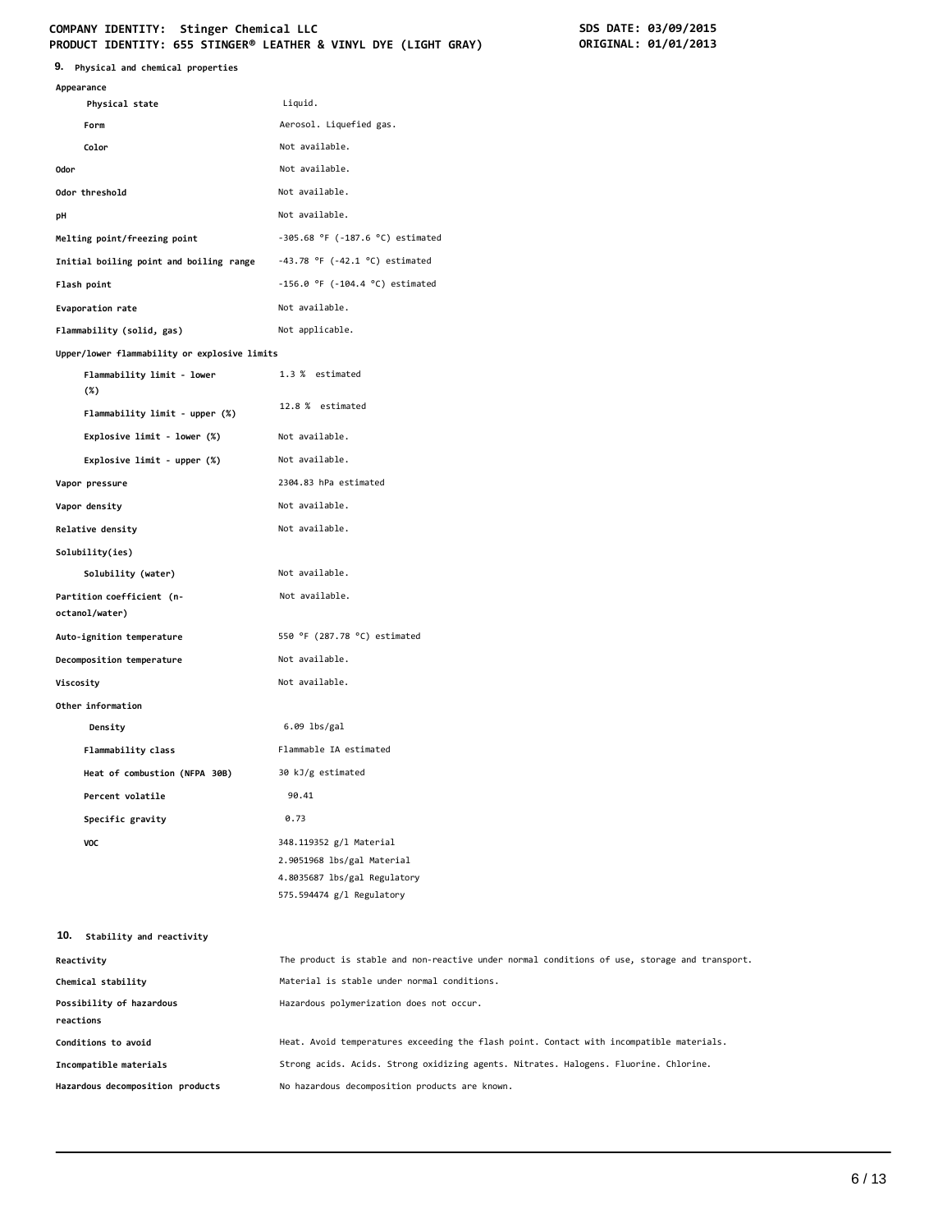#### **COMPANY IDENTITY: Stinger Chemical LLC PRODUCT IDENTITY: 655 STINGER® LEATHER & VINYL DYE (LIGHT GRAY) ORIGINAL: 01/01/2013**

| SDS DATE: 03/09/2015 |
|----------------------|
| ORIGINAL: 01/01/2013 |

| 9. Physical and chemical properties                                               |                                                                                               |
|-----------------------------------------------------------------------------------|-----------------------------------------------------------------------------------------------|
| Appearance                                                                        |                                                                                               |
| Physical state                                                                    | Liquid.                                                                                       |
| Form<br>Color                                                                     | Aerosol. Liquefied gas.<br>Not available.                                                     |
| 0dor                                                                              | Not available.                                                                                |
| Odor threshold                                                                    | Not available.                                                                                |
| рH                                                                                | Not available.                                                                                |
|                                                                                   | $-305.68$ °F ( $-187.6$ °C) estimated                                                         |
| Melting point/freezing point                                                      | $-43.78$ °F ( $-42.1$ °C) estimated                                                           |
| Initial boiling point and boiling range                                           | $-156.0$ °F ( $-104.4$ °C) estimated                                                          |
| Flash point                                                                       | Not available.                                                                                |
| Evaporation rate                                                                  |                                                                                               |
| Flammability (solid, gas)                                                         | Not applicable.                                                                               |
| Upper/lower flammability or explosive limits<br>Flammability limit - lower<br>(%) | 1.3 % estimated                                                                               |
| Flammability limit - upper (%)                                                    | 12.8 % estimated                                                                              |
| Explosive limit - lower (%)                                                       | Not available.                                                                                |
| Explosive limit - upper (%)                                                       | Not available.                                                                                |
| Vapor pressure                                                                    | 2304.83 hPa estimated                                                                         |
| Vapor density                                                                     | Not available.                                                                                |
| Relative density                                                                  | Not available.                                                                                |
| Solubility(ies)                                                                   |                                                                                               |
| Solubility (water)                                                                | Not available.                                                                                |
| Partition coefficient (n-<br>octanol/water)                                       | Not available.                                                                                |
| Auto-ignition temperature                                                         | 550 °F (287.78 °C) estimated                                                                  |
| Decomposition temperature                                                         | Not available.                                                                                |
| Viscosity                                                                         | Not available.                                                                                |
| Other information                                                                 |                                                                                               |
| Density                                                                           | $6.09$ lbs/gal                                                                                |
| Flammability class                                                                | Flammable IA estimated                                                                        |
| Heat of combustion (NFPA 30B)                                                     | 30 kJ/g estimated                                                                             |
| Percent volatile                                                                  | 90.41                                                                                         |
| Specific gravity                                                                  | 0.73                                                                                          |
| VOC                                                                               | 348.119352 g/l Material                                                                       |
|                                                                                   | 2.9051968 lbs/gal Material                                                                    |
|                                                                                   | 4.8035687 lbs/gal Regulatory                                                                  |
|                                                                                   | 575.594474 g/l Regulatory                                                                     |
| 10.<br>Stability and reactivity                                                   |                                                                                               |
| Reactivity                                                                        | The product is stable and non-reactive under normal conditions of use, storage and transport. |
| Chemical stability                                                                | Material is stable under normal conditions.                                                   |
| Possibility of hazardous<br>reactions                                             | Hazardous polymerization does not occur.                                                      |
| Conditions to avoid                                                               | Heat. Avoid temperatures exceeding the flash point. Contact with incompatible materials.      |
| Incompatible materials                                                            | Strong acids. Acids. Strong oxidizing agents. Nitrates. Halogens. Fluorine. Chlorine.         |

**Hazardous decomposition products** No hazardous decomposition products are known.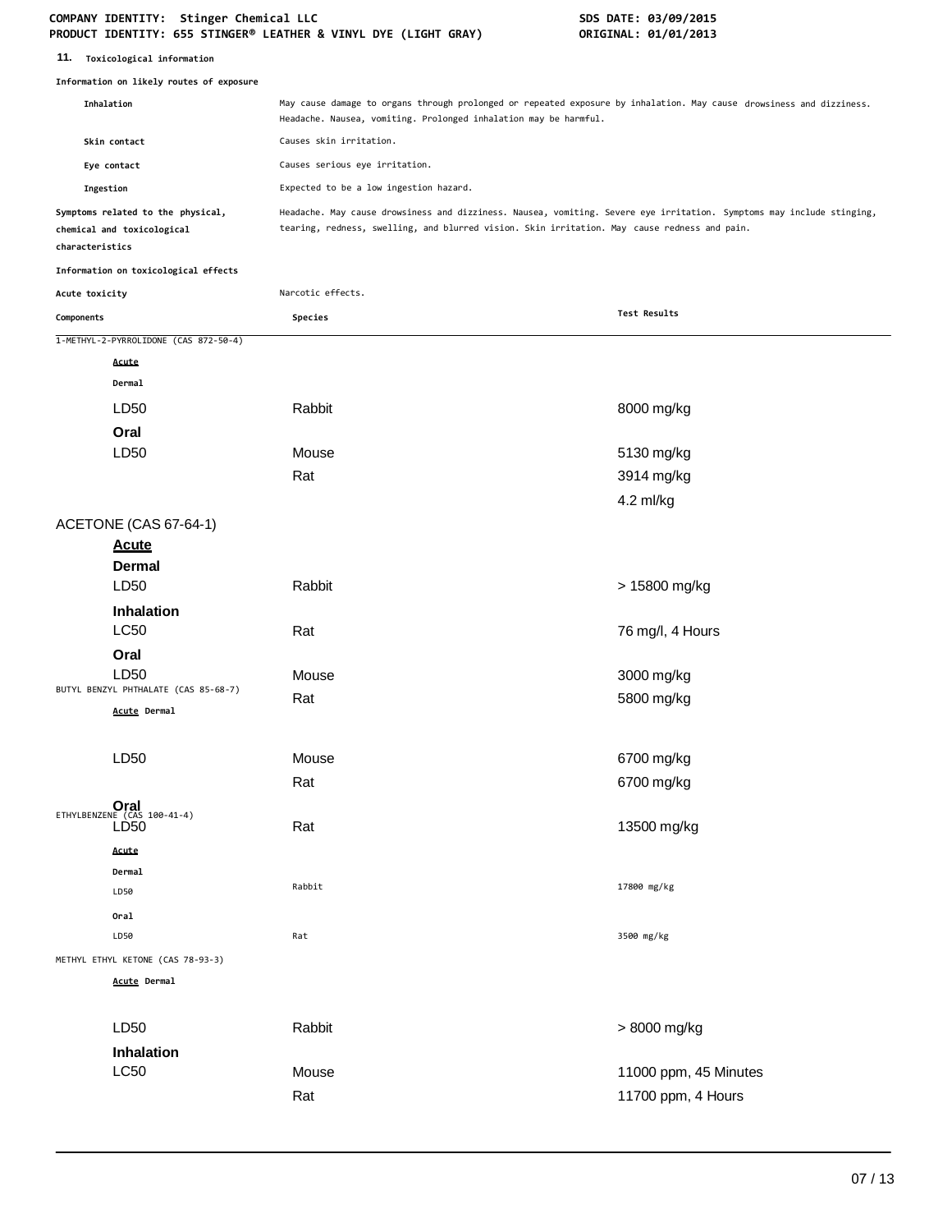#### **COMPANY IDENTITY: Stinger Chemical LLC SDS DATE: 03/09/2015 PRODUCT IDENTITY: 655 STINGER® LEATHER & VINYL DYE (LIGHT GRAY) ORIGINAL: 01/01/2013**

| 11. Toxicological information                                                      |                                                                  |                                                                                                                                                                                                                       |
|------------------------------------------------------------------------------------|------------------------------------------------------------------|-----------------------------------------------------------------------------------------------------------------------------------------------------------------------------------------------------------------------|
| Information on likely routes of exposure                                           |                                                                  |                                                                                                                                                                                                                       |
| Inhalation                                                                         | Headache. Nausea, vomiting. Prolonged inhalation may be harmful. | May cause damage to organs through prolonged or repeated exposure by inhalation. May cause drowsiness and dizziness.                                                                                                  |
| Skin contact                                                                       | Causes skin irritation.                                          |                                                                                                                                                                                                                       |
| Eye contact                                                                        | Causes serious eye irritation.                                   |                                                                                                                                                                                                                       |
| Ingestion                                                                          | Expected to be a low ingestion hazard.                           |                                                                                                                                                                                                                       |
| Symptoms related to the physical,<br>chemical and toxicological<br>characteristics |                                                                  | Headache. May cause drowsiness and dizziness. Nausea, vomiting. Severe eye irritation. Symptoms may include stinging,<br>tearing, redness, swelling, and blurred vision. Skin irritation. May cause redness and pain. |
| Information on toxicological effects                                               |                                                                  |                                                                                                                                                                                                                       |
| Acute toxicity                                                                     | Narcotic effects.                                                |                                                                                                                                                                                                                       |
| Components                                                                         | Species                                                          | Test Results                                                                                                                                                                                                          |
| 1-METHYL-2-PYRROLIDONE (CAS 872-50-4)                                              |                                                                  |                                                                                                                                                                                                                       |
| Acute                                                                              |                                                                  |                                                                                                                                                                                                                       |
| Dermal                                                                             |                                                                  |                                                                                                                                                                                                                       |
| LD50                                                                               | Rabbit                                                           | 8000 mg/kg                                                                                                                                                                                                            |
| Oral                                                                               |                                                                  |                                                                                                                                                                                                                       |
| LD50                                                                               | Mouse                                                            | 5130 mg/kg                                                                                                                                                                                                            |
|                                                                                    | Rat                                                              | 3914 mg/kg                                                                                                                                                                                                            |
|                                                                                    |                                                                  | 4.2 ml/kg                                                                                                                                                                                                             |
| ACETONE (CAS 67-64-1)                                                              |                                                                  |                                                                                                                                                                                                                       |
| <b>Acute</b>                                                                       |                                                                  |                                                                                                                                                                                                                       |
| Dermal                                                                             |                                                                  |                                                                                                                                                                                                                       |
| LD50                                                                               | Rabbit                                                           | > 15800 mg/kg                                                                                                                                                                                                         |
| <b>Inhalation</b>                                                                  |                                                                  |                                                                                                                                                                                                                       |
| <b>LC50</b>                                                                        | Rat                                                              | 76 mg/l, 4 Hours                                                                                                                                                                                                      |
| Oral                                                                               |                                                                  |                                                                                                                                                                                                                       |
| LD <sub>50</sub>                                                                   | Mouse                                                            | 3000 mg/kg                                                                                                                                                                                                            |
| BUTYL BENZYL PHTHALATE (CAS 85-68-7)                                               | Rat                                                              | 5800 mg/kg                                                                                                                                                                                                            |
| Acute Dermal                                                                       |                                                                  |                                                                                                                                                                                                                       |
| LD50                                                                               | Mouse                                                            | 6700 mg/kg                                                                                                                                                                                                            |
|                                                                                    |                                                                  |                                                                                                                                                                                                                       |
|                                                                                    | Rat                                                              | 6700 mg/kg                                                                                                                                                                                                            |
| ETHYLBENZENE (CAS 100-41-4)<br>LD50                                                | Rat                                                              | 13500 mg/kg                                                                                                                                                                                                           |
|                                                                                    |                                                                  |                                                                                                                                                                                                                       |
| Acute<br>Dermal                                                                    |                                                                  |                                                                                                                                                                                                                       |
| LD50                                                                               | Rabbit                                                           | 17800 mg/kg                                                                                                                                                                                                           |
| Oral                                                                               |                                                                  |                                                                                                                                                                                                                       |
| LD50                                                                               | Rat                                                              | 3500 mg/kg                                                                                                                                                                                                            |
| METHYL ETHYL KETONE (CAS 78-93-3)                                                  |                                                                  |                                                                                                                                                                                                                       |
| Acute Dermal                                                                       |                                                                  |                                                                                                                                                                                                                       |
|                                                                                    |                                                                  |                                                                                                                                                                                                                       |
| LD50                                                                               | Rabbit                                                           | > 8000 mg/kg                                                                                                                                                                                                          |
| Inhalation                                                                         |                                                                  |                                                                                                                                                                                                                       |
| <b>LC50</b>                                                                        | Mouse                                                            | 11000 ppm, 45 Minutes                                                                                                                                                                                                 |
|                                                                                    | Rat                                                              | 11700 ppm, 4 Hours                                                                                                                                                                                                    |
|                                                                                    |                                                                  |                                                                                                                                                                                                                       |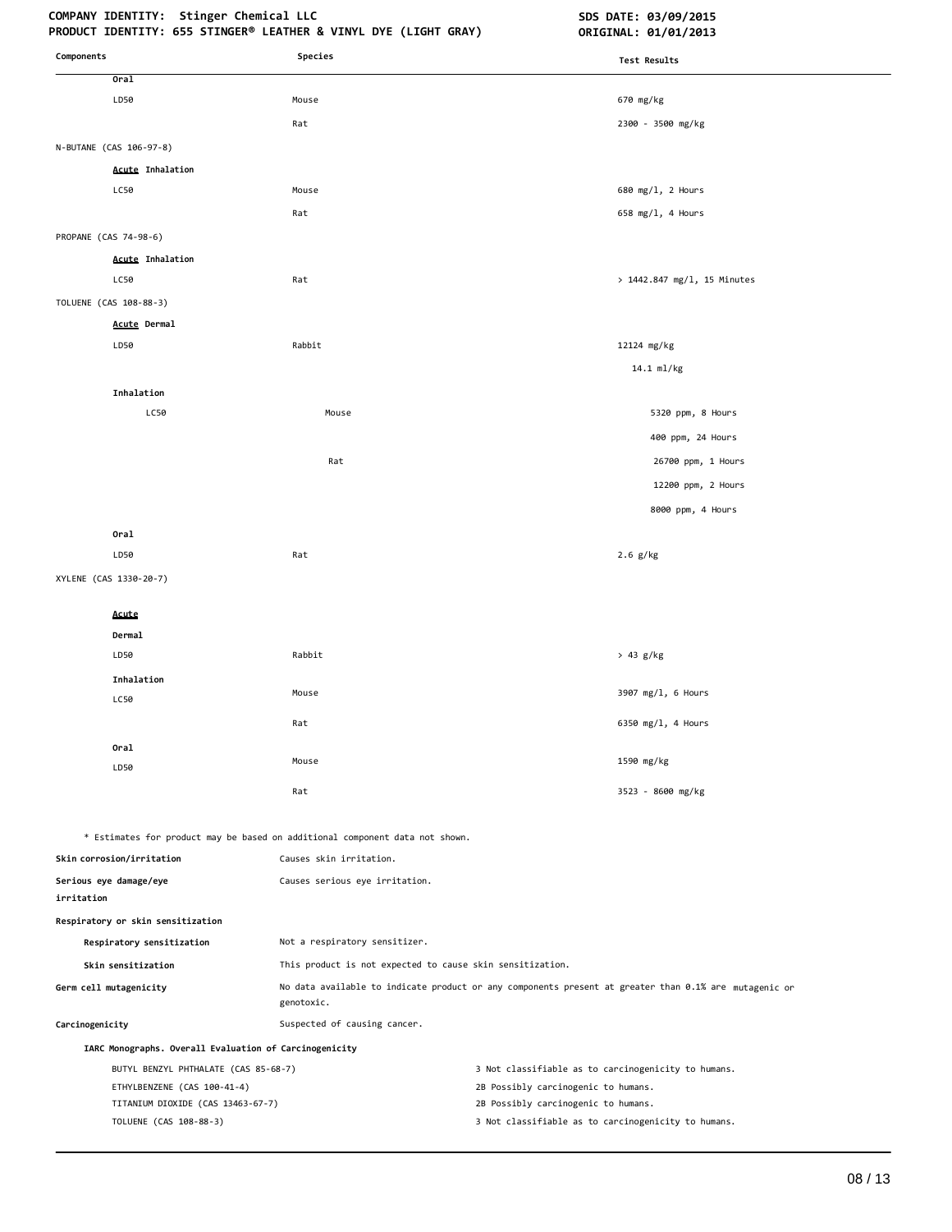## COMPANY IDENTITY: Stinger Chemical LLC **SDS DATE: 03/09/2015**

| Components                                                       | Species                                                                      | Test Results                                                                                          |
|------------------------------------------------------------------|------------------------------------------------------------------------------|-------------------------------------------------------------------------------------------------------|
| Oral                                                             |                                                                              |                                                                                                       |
| LD50                                                             | Mouse                                                                        | 670 mg/kg                                                                                             |
|                                                                  | Rat                                                                          | 2300 - 3500 mg/kg                                                                                     |
| N-BUTANE (CAS 106-97-8)                                          |                                                                              |                                                                                                       |
| <b>Acute Inhalation</b>                                          |                                                                              |                                                                                                       |
| LC50                                                             | Mouse                                                                        | 680 mg/l, 2 Hours                                                                                     |
|                                                                  | Rat                                                                          | 658 $mg/1$ , 4 Hours                                                                                  |
| PROPANE (CAS 74-98-6)                                            |                                                                              |                                                                                                       |
| <b>Acute Inhalation</b>                                          |                                                                              |                                                                                                       |
| LC50                                                             | Rat                                                                          | > 1442.847 mg/l, 15 Minutes                                                                           |
| TOLUENE (CAS 108-88-3)                                           |                                                                              |                                                                                                       |
| <b>Acute Dermal</b>                                              |                                                                              |                                                                                                       |
| LD50                                                             | Rabbit                                                                       | 12124 mg/kg                                                                                           |
|                                                                  |                                                                              | 14.1 ml/kg                                                                                            |
| Inhalation                                                       |                                                                              |                                                                                                       |
| LC50                                                             | Mouse                                                                        | 5320 ppm, 8 Hours                                                                                     |
|                                                                  |                                                                              | 400 ppm, 24 Hours                                                                                     |
|                                                                  | Rat                                                                          | 26700 ppm, 1 Hours                                                                                    |
|                                                                  |                                                                              | 12200 ppm, 2 Hours                                                                                    |
|                                                                  |                                                                              | 8000 ppm, 4 Hours                                                                                     |
| Oral                                                             |                                                                              |                                                                                                       |
| LD50                                                             | Rat                                                                          | $2.6$ g/kg                                                                                            |
| XYLENE (CAS 1330-20-7)                                           |                                                                              |                                                                                                       |
| Acute                                                            |                                                                              |                                                                                                       |
| Dermal                                                           |                                                                              |                                                                                                       |
| LD50                                                             | Rabbit                                                                       | > 43 g/kg                                                                                             |
| Inhalation                                                       |                                                                              |                                                                                                       |
| LC50                                                             | Mouse                                                                        | 3907 mg/l, 6 Hours                                                                                    |
|                                                                  | Rat                                                                          | 6350 mg/l, 4 Hours                                                                                    |
| Oral                                                             |                                                                              |                                                                                                       |
| LD50                                                             | Mouse                                                                        | 1590 mg/kg                                                                                            |
|                                                                  | Rat                                                                          | 3523 - 8600 mg/kg                                                                                     |
|                                                                  | * Estimates for product may be based on additional component data not shown. |                                                                                                       |
| Skin corrosion/irritation                                        | Causes skin irritation.                                                      |                                                                                                       |
| Serious eye damage/eye<br>irritation                             | Causes serious eye irritation.                                               |                                                                                                       |
| Respiratory or skin sensitization                                |                                                                              |                                                                                                       |
| Respiratory sensitization                                        | Not a respiratory sensitizer.                                                |                                                                                                       |
| Skin sensitization                                               | This product is not expected to cause skin sensitization.                    |                                                                                                       |
| Germ cell mutagenicity                                           | genotoxic.                                                                   | No data available to indicate product or any components present at greater than 0.1% are mutagenic or |
| Carcinogenicity                                                  | Suspected of causing cancer.                                                 |                                                                                                       |
| IARC Monographs. Overall Evaluation of Carcinogenicity           |                                                                              |                                                                                                       |
| BUTYL BENZYL PHTHALATE (CAS 85-68-7)                             |                                                                              | 3 Not classifiable as to carcinogenicity to humans.                                                   |
| ETHYLBENZENE (CAS 100-41-4)<br>TITANIUM DIOXIDE (CAS 13463-67-7) |                                                                              | 2B Possibly carcinogenic to humans.<br>2B Possibly carcinogenic to humans.                            |
| TOLUENE (CAS 108-88-3)                                           |                                                                              | 3 Not classifiable as to carcinogenicity to humans.                                                   |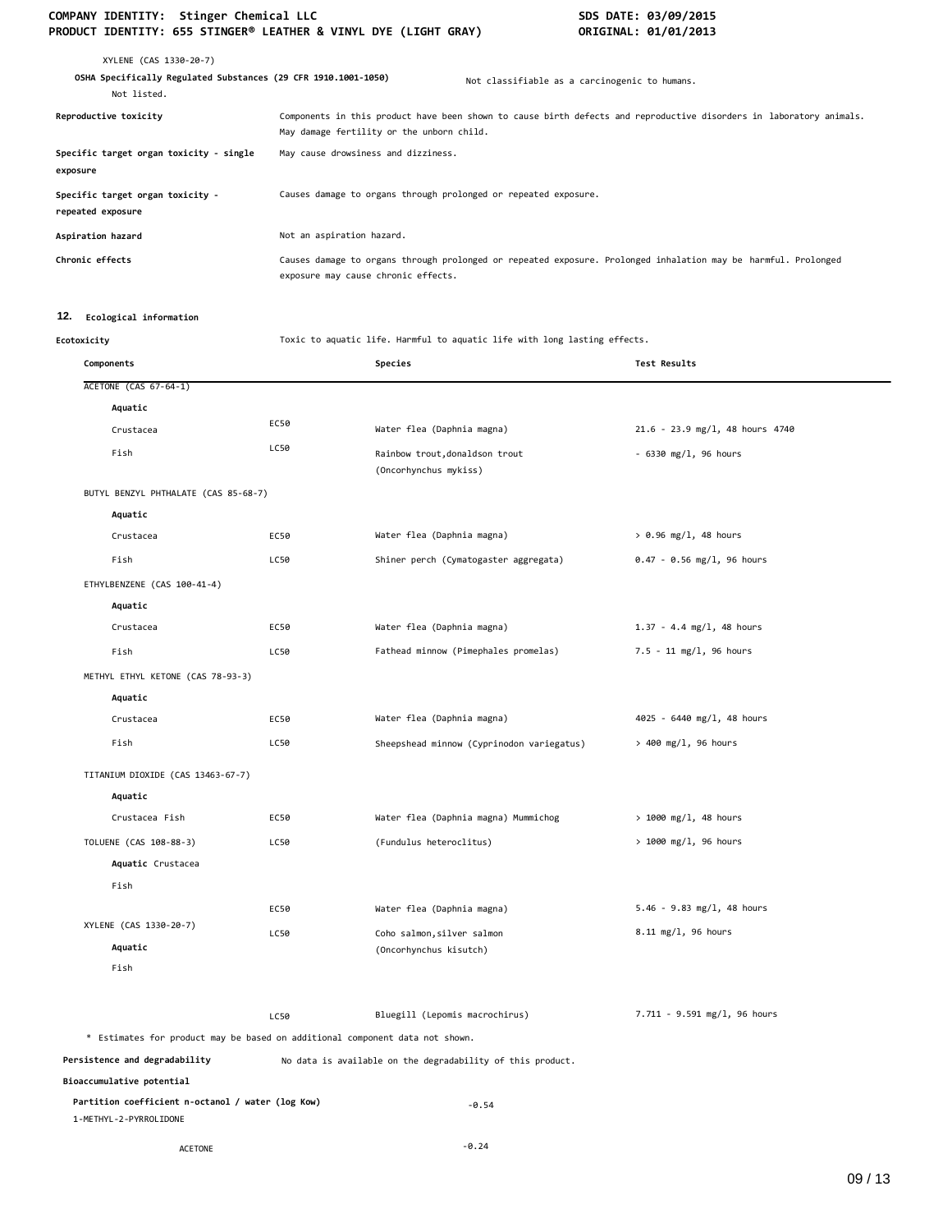### COMPANY IDENTITY: Stinger Chemical LLC<br>PRODUCT IDENTITY: 655 STINGER® LEATHER & VINYL DYE (LIGHT GRAY) **SOMETINAL: 01/01/2013 PRODUCT IDENTITY: 655 STINGER® LEATHER & VINYL DYE (LIGHT GRAY)**

| XYLENE (CAS 1330-20-7)<br>OSHA Specifically Regulated Substances (29 CFR 1910.1001-1050)<br>Not listed. |                                                                 | Not classifiable as a carcinogenic to humans.                                                                       |
|---------------------------------------------------------------------------------------------------------|-----------------------------------------------------------------|---------------------------------------------------------------------------------------------------------------------|
| Reproductive toxicity                                                                                   | May damage fertility or the unborn child.                       | Components in this product have been shown to cause birth defects and reproductive disorders in laboratory animals. |
| Specific target organ toxicity - single<br>exposure                                                     | May cause drowsiness and dizziness.                             |                                                                                                                     |
| Specific target organ toxicity -<br>repeated exposure                                                   | Causes damage to organs through prolonged or repeated exposure. |                                                                                                                     |
| Aspiration hazard                                                                                       | Not an aspiration hazard.                                       |                                                                                                                     |
| Chronic effects                                                                                         | exposure may cause chronic effects.                             | Causes damage to organs through prolonged or repeated exposure. Prolonged inhalation may be harmful. Prolonged      |

#### **12. Ecological information**

**Ecotoxicity** Toxic to aquatic life. Harmful to aquatic life with long lasting effects.

| Components                                                                   |      | Species                                                    | <b>Test Results</b>             |
|------------------------------------------------------------------------------|------|------------------------------------------------------------|---------------------------------|
| <b>ACETONE (CAS 67-64-1)</b>                                                 |      |                                                            |                                 |
| Aquatic                                                                      |      |                                                            |                                 |
| Crustacea                                                                    | EC50 | Water flea (Daphnia magna)                                 | 21.6 - 23.9 mg/l, 48 hours 4740 |
| Fish                                                                         | LC50 | Rainbow trout, donaldson trout<br>(Oncorhynchus mykiss)    | $-6330$ mg/l, 96 hours          |
| BUTYL BENZYL PHTHALATE (CAS 85-68-7)                                         |      |                                                            |                                 |
| Aquatic                                                                      |      |                                                            |                                 |
| Crustacea                                                                    | EC50 | Water flea (Daphnia magna)                                 | $> 0.96$ mg/l, 48 hours         |
| Fish                                                                         | LC50 | Shiner perch (Cymatogaster aggregata)                      | $0.47 - 0.56$ mg/l, 96 hours    |
| ETHYLBENZENE (CAS 100-41-4)                                                  |      |                                                            |                                 |
| Aquatic                                                                      |      |                                                            |                                 |
| Crustacea                                                                    | EC50 | Water flea (Daphnia magna)                                 | $1.37 - 4.4$ mg/l, 48 hours     |
| Fish                                                                         | LC50 | Fathead minnow (Pimephales promelas)                       | 7.5 - 11 mg/l, 96 hours         |
| METHYL ETHYL KETONE (CAS 78-93-3)                                            |      |                                                            |                                 |
| Aquatic                                                                      |      |                                                            |                                 |
| Crustacea                                                                    | EC50 | Water flea (Daphnia magna)                                 | 4025 - 6440 mg/l, 48 hours      |
| Fish                                                                         | LC50 | Sheepshead minnow (Cyprinodon variegatus)                  | $> 400$ mg/l, 96 hours          |
| TITANIUM DIOXIDE (CAS 13463-67-7)                                            |      |                                                            |                                 |
| Aquatic                                                                      |      |                                                            |                                 |
| Crustacea Fish                                                               | EC50 | Water flea (Daphnia magna) Mummichog                       | $> 1000$ mg/l, 48 hours         |
| TOLUENE (CAS 108-88-3)                                                       | LC50 | (Fundulus heteroclitus)                                    | > 1000 mg/l, 96 hours           |
| Aquatic Crustacea                                                            |      |                                                            |                                 |
| Fish                                                                         |      |                                                            |                                 |
|                                                                              | EC50 | Water flea (Daphnia magna)                                 | $5.46 - 9.83$ mg/l, 48 hours    |
| XYLENE (CAS 1330-20-7)                                                       | LC50 | Coho salmon, silver salmon                                 | 8.11 mg/l, 96 hours             |
| Aquatic                                                                      |      | (Oncorhynchus kisutch)                                     |                                 |
| Fish                                                                         |      |                                                            |                                 |
|                                                                              | LC50 | Bluegill (Lepomis macrochirus)                             | 7.711 - 9.591 mg/l, 96 hours    |
| * Estimates for product may be based on additional component data not shown. |      |                                                            |                                 |
| Persistence and degradability                                                |      | No data is available on the degradability of this product. |                                 |
| Bioaccumulative potential                                                    |      |                                                            |                                 |
| Partition coefficient n-octanol / water (log Kow)<br>1-METHYL-2-PYRROLIDONE  |      | $-0.54$                                                    |                                 |
| <b>ACETONE</b>                                                               |      | $-0.24$                                                    |                                 |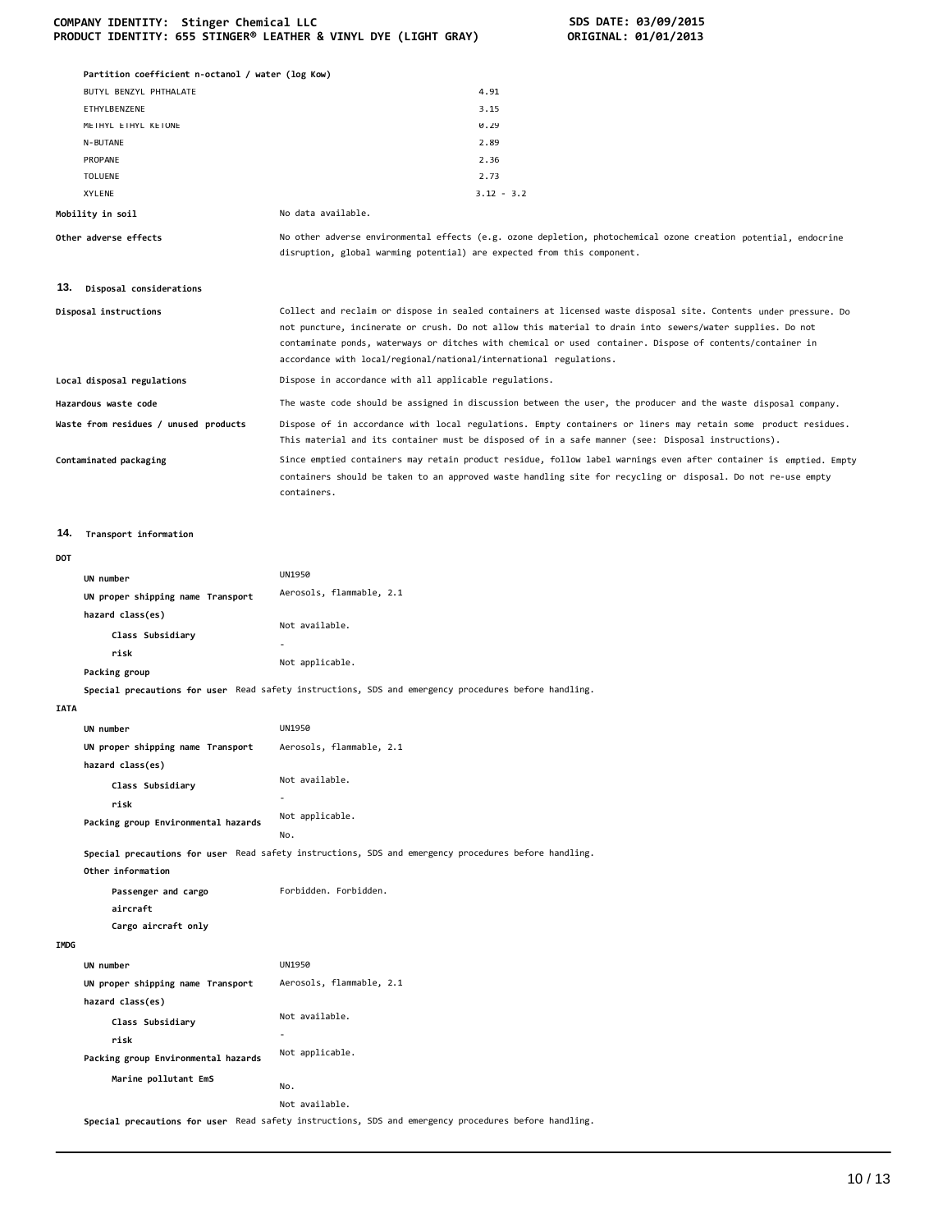|  | COMPANY IDENTITY: Stinger Chemical LLC                          |  |  |
|--|-----------------------------------------------------------------|--|--|
|  | PRODUCT IDENTITY: 655 STINGER® LEATHER & VINYL DYE (LIGHT GRAY) |  |  |

**COMPANY IDENTITY: Stinger Chemical LLC SDS DATE: 03/09/2015 PRODUCT IDENTITY: 655 STINGER® LEATHER & VINYL DYE (LIGHT GRAY) ORIGINAL: 01/01/2013** 

|             | Partition coefficient n-octanol / water (log Kow) |                                                                                                                                                                                                                                                                                              |
|-------------|---------------------------------------------------|----------------------------------------------------------------------------------------------------------------------------------------------------------------------------------------------------------------------------------------------------------------------------------------------|
|             | BUTYL BENZYL PHTHALATE                            | 4.91                                                                                                                                                                                                                                                                                         |
|             | ETHYLBENZENE                                      | 3.15                                                                                                                                                                                                                                                                                         |
|             | METHYL ETHYL KETONE                               | 0.29                                                                                                                                                                                                                                                                                         |
|             | N-BUTANE                                          | 2.89                                                                                                                                                                                                                                                                                         |
|             | PROPANE                                           | 2.36                                                                                                                                                                                                                                                                                         |
|             | <b>TOLUENE</b><br>XYLENE                          | 2.73<br>$3.12 - 3.2$                                                                                                                                                                                                                                                                         |
|             | Mobility in soil                                  | No data available.                                                                                                                                                                                                                                                                           |
|             | Other adverse effects                             | No other adverse environmental effects (e.g. ozone depletion, photochemical ozone creation potential, endocrine<br>disruption, global warming potential) are expected from this component.                                                                                                   |
| 13.         | Disposal considerations                           |                                                                                                                                                                                                                                                                                              |
|             |                                                   | Collect and reclaim or dispose in sealed containers at licensed waste disposal site. Contents under pressure. Do                                                                                                                                                                             |
|             | Disposal instructions                             | not puncture, incinerate or crush. Do not allow this material to drain into sewers/water supplies. Do not<br>contaminate ponds, waterways or ditches with chemical or used container. Dispose of contents/container in<br>accordance with local/regional/national/international regulations. |
|             | Local disposal regulations                        | Dispose in accordance with all applicable regulations.                                                                                                                                                                                                                                       |
|             | Hazardous waste code                              | The waste code should be assigned in discussion between the user, the producer and the waste disposal company.                                                                                                                                                                               |
|             | Waste from residues / unused products             | Dispose of in accordance with local regulations. Empty containers or liners may retain some product residues.<br>This material and its container must be disposed of in a safe manner (see: Disposal instructions).                                                                          |
|             | Contaminated packaging                            | Since emptied containers may retain product residue, follow label warnings even after container is emptied. Empty<br>containers should be taken to an approved waste handling site for recycling or disposal. Do not re-use empty<br>containers.                                             |
| 14.         | Transport information                             |                                                                                                                                                                                                                                                                                              |
| DOT         |                                                   |                                                                                                                                                                                                                                                                                              |
|             | UN number                                         | <b>UN1950</b>                                                                                                                                                                                                                                                                                |
|             | UN proper shipping name Transport                 | Aerosols, flammable, 2.1                                                                                                                                                                                                                                                                     |
|             | hazard class(es)                                  |                                                                                                                                                                                                                                                                                              |
|             | Class Subsidiary                                  | Not available.                                                                                                                                                                                                                                                                               |
|             | risk                                              |                                                                                                                                                                                                                                                                                              |
|             | Packing group                                     | Not applicable.                                                                                                                                                                                                                                                                              |
|             |                                                   | Special precautions for user Read safety instructions, SDS and emergency procedures before handling.                                                                                                                                                                                         |
| <b>IATA</b> |                                                   |                                                                                                                                                                                                                                                                                              |
|             | UN number                                         | <b>UN1950</b>                                                                                                                                                                                                                                                                                |
|             | UN proper shipping name Transport                 | Aerosols, flammable, 2.1                                                                                                                                                                                                                                                                     |
|             | hazard class(es)                                  |                                                                                                                                                                                                                                                                                              |
|             | Class Subsidiary                                  | Not available.                                                                                                                                                                                                                                                                               |
|             | risk                                              | $\overline{\phantom{a}}$                                                                                                                                                                                                                                                                     |
|             | Packing group Environmental hazards               | Not applicable.<br>No.                                                                                                                                                                                                                                                                       |
|             | Other information                                 | Special precautions for user Read safety instructions, SDS and emergency procedures before handling.                                                                                                                                                                                         |
|             | Passenger and cargo<br>aircraft                   | Forbidden. Forbidden.                                                                                                                                                                                                                                                                        |
| IMDG        | Cargo aircraft only                               |                                                                                                                                                                                                                                                                                              |
|             | UN number                                         | <b>UN1950</b>                                                                                                                                                                                                                                                                                |
|             | UN proper shipping name Transport                 | Aerosols, flammable, 2.1                                                                                                                                                                                                                                                                     |
|             | hazard class(es)                                  |                                                                                                                                                                                                                                                                                              |
|             |                                                   | Not available.                                                                                                                                                                                                                                                                               |
|             | Class Subsidiary<br>risk                          |                                                                                                                                                                                                                                                                                              |
|             | Packing group Environmental hazards               | Not applicable.                                                                                                                                                                                                                                                                              |
|             |                                                   |                                                                                                                                                                                                                                                                                              |
|             | Marine pollutant EmS                              | No.                                                                                                                                                                                                                                                                                          |
|             |                                                   | Not available.                                                                                                                                                                                                                                                                               |
|             |                                                   |                                                                                                                                                                                                                                                                                              |

**Special precautions for user** Read safety instructions, SDS and emergency procedures before handling.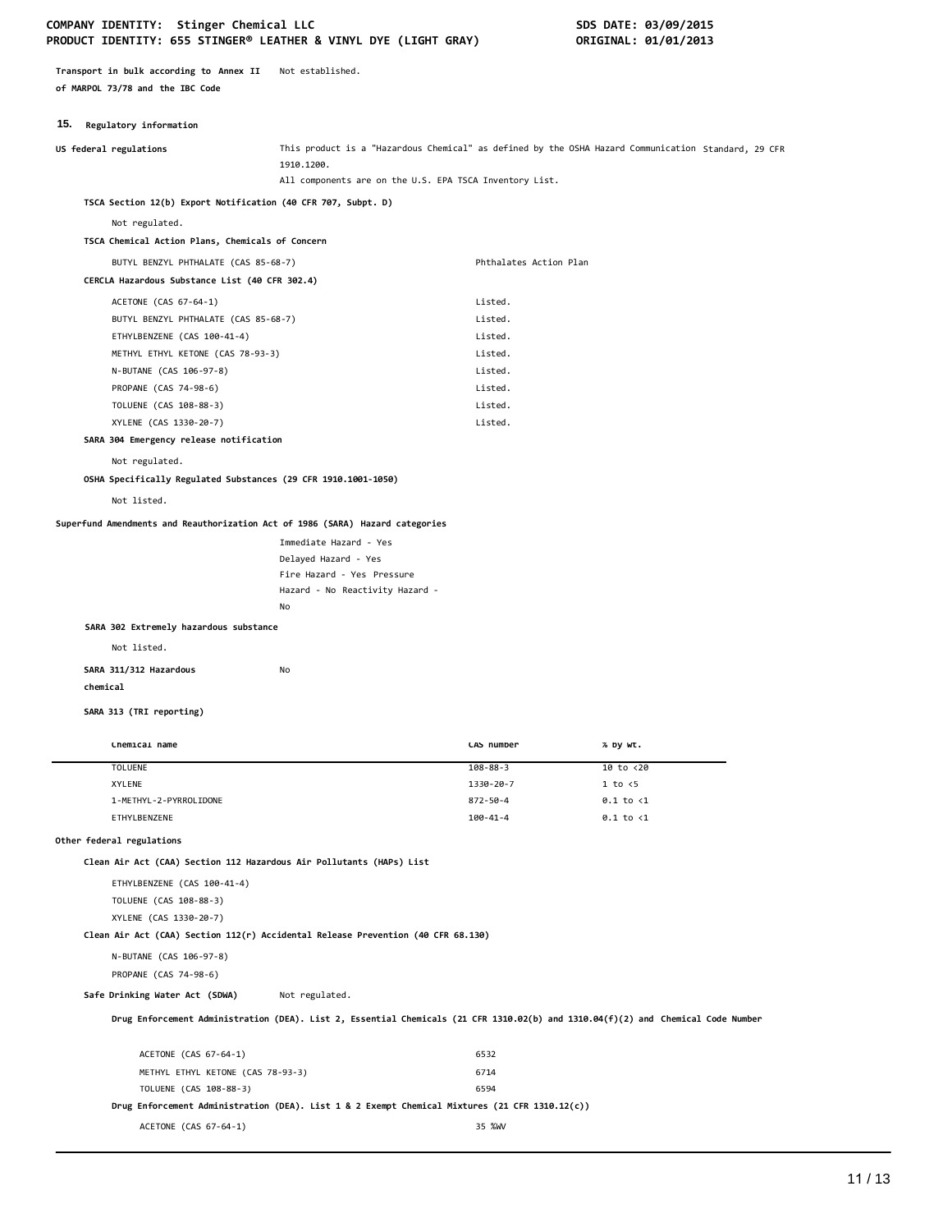#### COMPANY IDENTITY: Stinger Chemical LLC **SDS DATE: 03/09/2015 PRODUCT IDENTITY: 655 STINGER® LEATHER & VINYL DYE (LIGHT GRAY) ORIGINAL: 01/01/2013**

**Transport in bulk according to Annex II** Not established. **of MARPOL 73/78 and the IBC Code**

#### **15. Regulatory information**

| US federal regulations                                                           | 1910.1200.                                              |                        | This product is a "Hazardous Chemical" as defined by the OSHA Hazard Communication Standard, 29 CFR                              |
|----------------------------------------------------------------------------------|---------------------------------------------------------|------------------------|----------------------------------------------------------------------------------------------------------------------------------|
|                                                                                  | All components are on the U.S. EPA TSCA Inventory List. |                        |                                                                                                                                  |
| TSCA Section 12(b) Export Notification (40 CFR 707, Subpt. D)                    |                                                         |                        |                                                                                                                                  |
| Not regulated.                                                                   |                                                         |                        |                                                                                                                                  |
| TSCA Chemical Action Plans, Chemicals of Concern                                 |                                                         |                        |                                                                                                                                  |
| BUTYL BENZYL PHTHALATE (CAS 85-68-7)                                             |                                                         | Phthalates Action Plan |                                                                                                                                  |
| CERCLA Hazardous Substance List (40 CFR 302.4)                                   |                                                         |                        |                                                                                                                                  |
| ACETONE (CAS 67-64-1)                                                            |                                                         | Listed.                |                                                                                                                                  |
| BUTYL BENZYL PHTHALATE (CAS 85-68-7)                                             |                                                         | Listed.                |                                                                                                                                  |
| ETHYLBENZENE (CAS 100-41-4)                                                      |                                                         | Listed.                |                                                                                                                                  |
| METHYL ETHYL KETONE (CAS 78-93-3)                                                |                                                         | Listed.                |                                                                                                                                  |
| N-BUTANE (CAS 106-97-8)                                                          |                                                         | Listed.                |                                                                                                                                  |
| PROPANE (CAS 74-98-6)                                                            |                                                         | Listed.                |                                                                                                                                  |
| TOLUENE (CAS 108-88-3)                                                           |                                                         | Listed.                |                                                                                                                                  |
| XYLENE (CAS 1330-20-7)                                                           |                                                         | Listed.                |                                                                                                                                  |
| SARA 304 Emergency release notification                                          |                                                         |                        |                                                                                                                                  |
| Not regulated.                                                                   |                                                         |                        |                                                                                                                                  |
| OSHA Specifically Regulated Substances (29 CFR 1910.1001-1050)                   |                                                         |                        |                                                                                                                                  |
| Not listed.                                                                      |                                                         |                        |                                                                                                                                  |
|                                                                                  |                                                         |                        |                                                                                                                                  |
| Superfund Amendments and Reauthorization Act of 1986 (SARA) Hazard categories    |                                                         |                        |                                                                                                                                  |
|                                                                                  | Immediate Hazard - Yes                                  |                        |                                                                                                                                  |
|                                                                                  | Delayed Hazard - Yes                                    |                        |                                                                                                                                  |
|                                                                                  | Fire Hazard - Yes Pressure                              |                        |                                                                                                                                  |
|                                                                                  | Hazard - No Reactivity Hazard -<br>No                   |                        |                                                                                                                                  |
| SARA 302 Extremely hazardous substance                                           |                                                         |                        |                                                                                                                                  |
|                                                                                  |                                                         |                        |                                                                                                                                  |
| Not listed.                                                                      |                                                         |                        |                                                                                                                                  |
| SARA 311/312 Hazardous                                                           | No                                                      |                        |                                                                                                                                  |
| chemical                                                                         |                                                         |                        |                                                                                                                                  |
| SARA 313 (TRI reporting)                                                         |                                                         |                        |                                                                                                                                  |
|                                                                                  |                                                         |                        |                                                                                                                                  |
| Chemical name                                                                    |                                                         | CAS number             | % by wt.                                                                                                                         |
| TOLUENE                                                                          |                                                         | $108 - 88 - 3$         | 10 to <20                                                                                                                        |
| XYLENE                                                                           |                                                         | 1330-20-7              | $1$ to $\leq$                                                                                                                    |
| 1-METHYL-2-PYRROLIDONE                                                           |                                                         | 872-50-4               | $0.1$ to $<1$                                                                                                                    |
| ETHYLBENZENE                                                                     |                                                         | $100 - 41 - 4$         | $0.1$ to $<$ 1                                                                                                                   |
| Other federal regulations                                                        |                                                         |                        |                                                                                                                                  |
| Clean Air Act (CAA) Section 112 Hazardous Air Pollutants (HAPs) List             |                                                         |                        |                                                                                                                                  |
| ETHYLBENZENE (CAS 100-41-4)                                                      |                                                         |                        |                                                                                                                                  |
|                                                                                  |                                                         |                        |                                                                                                                                  |
| TOLUENE (CAS 108-88-3)<br>XYLENE (CAS 1330-20-7)                                 |                                                         |                        |                                                                                                                                  |
| Clean Air Act (CAA) Section 112(r) Accidental Release Prevention (40 CFR 68.130) |                                                         |                        |                                                                                                                                  |
|                                                                                  |                                                         |                        |                                                                                                                                  |
| N-BUTANE (CAS 106-97-8)                                                          |                                                         |                        |                                                                                                                                  |
| PROPANE (CAS 74-98-6)                                                            |                                                         |                        |                                                                                                                                  |
| Safe Drinking Water Act (SDWA)                                                   | Not regulated.                                          |                        |                                                                                                                                  |
|                                                                                  |                                                         |                        | Drug Enforcement Administration (DEA). List 2, Essential Chemicals (21 CFR 1310.02(b) and 1310.04(f)(2) and Chemical Code Number |
|                                                                                  |                                                         |                        |                                                                                                                                  |
| ACETONE (CAS 67-64-1)                                                            |                                                         | 6532                   |                                                                                                                                  |

METHYL ETHYL KETONE (CAS 78-93-3) 6714 TOLUENE (CAS 108-88-3) 6594

ACETONE (CAS 67-64-1) 35 %WV

**Drug Enforcement Administration (DEA). List 1 & 2 Exempt Chemical Mixtures (21 CFR 1310.12(c))**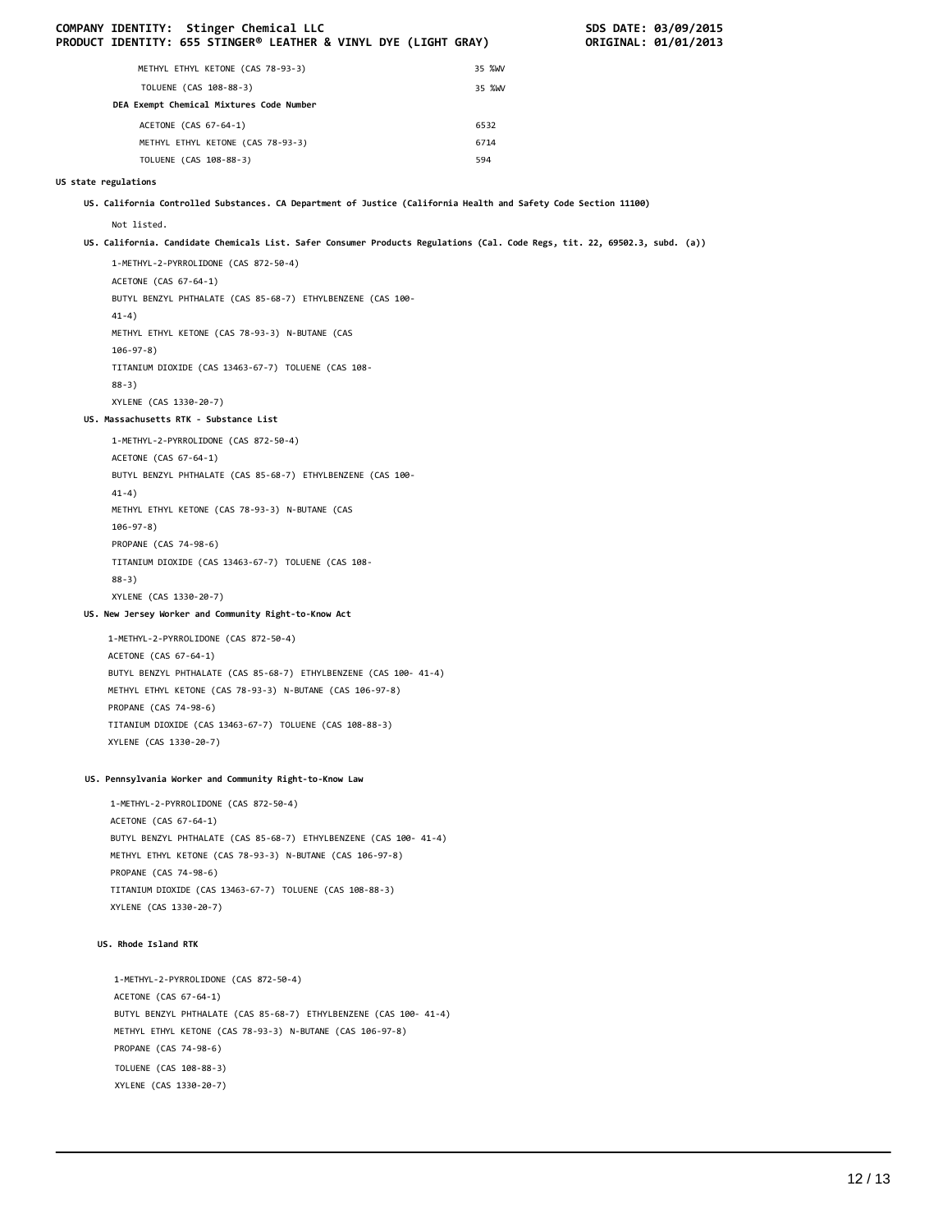|                      | COMPANY IDENTITY: Stinger Chemical LLC<br>PRODUCT IDENTITY: 655 STINGER® LEATHER & VINYL DYE (LIGHT GRAY)                   |        | SDS DATE: 03/09/2015<br>ORIGINAL: 01/01/2013 |
|----------------------|-----------------------------------------------------------------------------------------------------------------------------|--------|----------------------------------------------|
|                      | METHYL ETHYL KETONE (CAS 78-93-3)                                                                                           | 35 %WV |                                              |
|                      | TOLUENE (CAS 108-88-3)                                                                                                      | 35 %WV |                                              |
|                      | DEA Exempt Chemical Mixtures Code Number                                                                                    |        |                                              |
|                      | ACETONE (CAS 67-64-1)                                                                                                       | 6532   |                                              |
|                      | METHYL ETHYL KETONE (CAS 78-93-3)                                                                                           | 6714   |                                              |
|                      | TOLUENE (CAS 108-88-3)                                                                                                      | 594    |                                              |
| US state regulations |                                                                                                                             |        |                                              |
|                      | US. California Controlled Substances. CA Department of Justice (California Health and Safety Code Section 11100)            |        |                                              |
|                      | Not listed.                                                                                                                 |        |                                              |
|                      | US. California. Candidate Chemicals List. Safer Consumer Products Regulations (Cal. Code Regs, tit. 22, 69502.3, subd. (a)) |        |                                              |
|                      | 1-METHYL-2-PYRROLIDONE (CAS 872-50-4)                                                                                       |        |                                              |
|                      | ACETONE (CAS 67-64-1)                                                                                                       |        |                                              |
|                      | BUTYL BENZYL PHTHALATE (CAS 85-68-7) ETHYLBENZENE (CAS 100-                                                                 |        |                                              |
|                      | $41-4)$                                                                                                                     |        |                                              |
|                      | METHYL ETHYL KETONE (CAS 78-93-3) N-BUTANE (CAS<br>$106 - 97 - 8$ )                                                         |        |                                              |
|                      | TITANIUM DIOXIDE (CAS 13463-67-7) TOLUENE (CAS 108-                                                                         |        |                                              |
|                      | $88-3)$                                                                                                                     |        |                                              |
|                      | XYLENE (CAS 1330-20-7)                                                                                                      |        |                                              |
|                      | US. Massachusetts RTK - Substance List                                                                                      |        |                                              |
|                      | 1-METHYL-2-PYRROLIDONE (CAS 872-50-4)                                                                                       |        |                                              |
|                      | ACETONE (CAS 67-64-1)<br>BUTYL BENZYL PHTHALATE (CAS 85-68-7) ETHYLBENZENE (CAS 100-                                        |        |                                              |
|                      | $41-4)$                                                                                                                     |        |                                              |
|                      | METHYL ETHYL KETONE (CAS 78-93-3) N-BUTANE (CAS                                                                             |        |                                              |
|                      | $106 - 97 - 8$ )                                                                                                            |        |                                              |
|                      | PROPANE (CAS 74-98-6)                                                                                                       |        |                                              |
|                      | TITANIUM DIOXIDE (CAS 13463-67-7) TOLUENE (CAS 108-                                                                         |        |                                              |
|                      | $88-3)$                                                                                                                     |        |                                              |
|                      | XYLENE (CAS 1330-20-7)                                                                                                      |        |                                              |
|                      | US. New Jersey Worker and Community Right-to-Know Act                                                                       |        |                                              |
|                      | 1-METHYL-2-PYRROLIDONE (CAS 872-50-4)                                                                                       |        |                                              |
|                      | ACETONE (CAS 67-64-1)<br>BUTYL BENZYL PHTHALATE (CAS 85-68-7) ETHYLBENZENE (CAS 100- 41-4)                                  |        |                                              |
|                      | METHYL ETHYL KETONE (CAS 78-93-3) N-BUTANE (CAS 106-97-8)                                                                   |        |                                              |
|                      | PROPANE (CAS 74-98-6)                                                                                                       |        |                                              |
|                      | TITANIUM DIOXIDE (CAS 13463-67-7) TOLUENE (CAS 108-88-3)                                                                    |        |                                              |
|                      | XYLENE (CAS 1330-20-7)                                                                                                      |        |                                              |
|                      | US. Pennsylvania Worker and Community Right-to-Know Law                                                                     |        |                                              |
|                      | 1-METHYL-2-PYRROLIDONE (CAS 872-50-4)                                                                                       |        |                                              |
|                      | ACETONE (CAS 67-64-1)                                                                                                       |        |                                              |
|                      | BUTYL BENZYL PHTHALATE (CAS 85-68-7) ETHYLBENZENE (CAS 100- 41-4)                                                           |        |                                              |
|                      | METHYL ETHYL KETONE (CAS 78-93-3) N-BUTANE (CAS 106-97-8)                                                                   |        |                                              |
|                      | PROPANE (CAS 74-98-6)                                                                                                       |        |                                              |
|                      | TITANIUM DIOXIDE (CAS 13463-67-7) TOLUENE (CAS 108-88-3)<br>XYLENE (CAS 1330-20-7)                                          |        |                                              |
|                      |                                                                                                                             |        |                                              |
|                      | US. Rhode Island RTK                                                                                                        |        |                                              |
|                      | 1-METHYL-2-PYRROLIDONE (CAS 872-50-4)                                                                                       |        |                                              |
|                      | ACETONE (CAS 67-64-1)                                                                                                       |        |                                              |
|                      | BUTYL BENZYL PHTHALATE (CAS 85-68-7) ETHYLBENZENE (CAS 100- 41-4)                                                           |        |                                              |
|                      | METHYL ETHYL KETONE (CAS 78-93-3) N-BUTANE (CAS 106-97-8)<br>PROPANE (CAS 74-98-6)                                          |        |                                              |
|                      | TOLUENE (CAS 108-88-3)                                                                                                      |        |                                              |
|                      | XYLENE (CAS 1330-20-7)                                                                                                      |        |                                              |